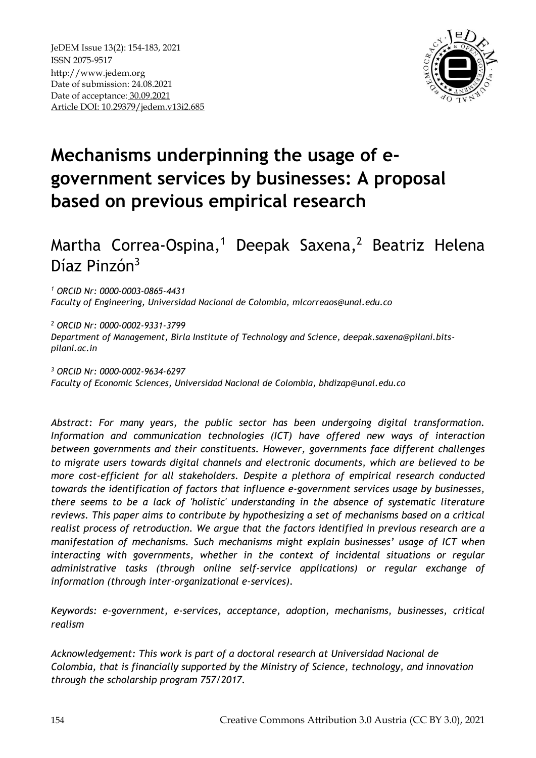

# **Mechanisms underpinning the usage of egovernment services by businesses: A proposal based on previous empirical research**

# Martha Correa-Ospina, <sup>1</sup> Deepak Saxena, <sup>2</sup> Beatriz Helena Díaz Pinzón<sup>3</sup>

*<sup>1</sup> ORCID Nr: 0000-0003-0865-4431 Faculty of Engineering, Universidad Nacional de Colombia, [mlcorreaos@unal.edu.co](mailto:mlcorreaos@unal.edu.co)*

*<sup>2</sup> ORCID Nr: 0000-0002-9331-3799 Department of Management, Birla Institute of Technology and Science, deepak.saxena@pilani.bitspilani.ac.in* 

*<sup>3</sup> ORCID Nr: 0000-0002-9634-6297 Faculty of Economic Sciences, Universidad Nacional de Colombia, bhdizap@unal.edu.co* 

*Abstract: For many years, the public sector has been undergoing digital transformation. Information and communication technologies (ICT) have offered new ways of interaction between governments and their constituents. However, governments face different challenges to migrate users towards digital channels and electronic documents, which are believed to be more cost-efficient for all stakeholders. Despite a plethora of empirical research conducted towards the identification of factors that influence e-government services usage by businesses, there seems to be a lack of 'holistic' understanding in the absence of systematic literature reviews. This paper aims to contribute by hypothesizing a set of mechanisms based on a critical realist process of retroduction. We argue that the factors identified in previous research are a manifestation of mechanisms. Such mechanisms might explain businesses' usage of ICT when interacting with governments, whether in the context of incidental situations or regular administrative tasks (through online self-service applications) or regular exchange of information (through inter-organizational e-services).* 

*Keywords: e-government, e-services, acceptance, adoption, mechanisms, businesses, critical realism*

*Acknowledgement: This work is part of a doctoral research at Universidad Nacional de Colombia, that is financially supported by the Ministry of Science, technology, and innovation through the scholarship program 757/2017.*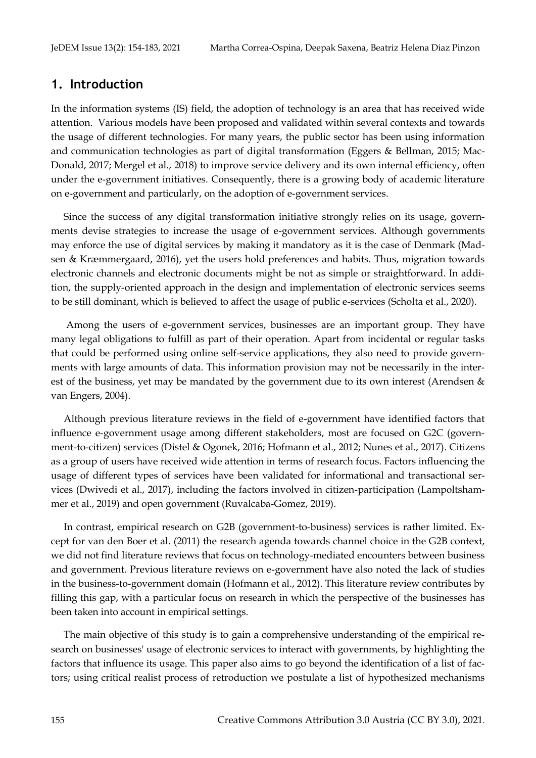### **1. Introduction**

In the information systems (IS) field, the adoption of technology is an area that has received wide attention. Various models have been proposed and validated within several contexts and towards the usage of different technologies. For many years, the public sector has been using information and communication technologies as part of digital transformation (Eggers & Bellman, 2015; Mac-Donald, 2017; Mergel et al., 2018) to improve service delivery and its own internal efficiency, often under the e-government initiatives. Consequently, there is a growing body of academic literature on e-government and particularly, on the adoption of e-government services.

Since the success of any digital transformation initiative strongly relies on its usage, governments devise strategies to increase the usage of e-government services. Although governments may enforce the use of digital services by making it mandatory as it is the case of Denmark (Madsen & Kræmmergaard, 2016), yet the users hold preferences and habits. Thus, migration towards electronic channels and electronic documents might be not as simple or straightforward. In addition, the supply-oriented approach in the design and implementation of electronic services seems to be still dominant, which is believed to affect the usage of public e-services (Scholta et al., 2020).

Among the users of e-government services, businesses are an important group. They have many legal obligations to fulfill as part of their operation. Apart from incidental or regular tasks that could be performed using online self-service applications, they also need to provide governments with large amounts of data. This information provision may not be necessarily in the interest of the business, yet may be mandated by the government due to its own interest (Arendsen & van Engers, 2004).

Although previous literature reviews in the field of e-government have identified factors that influence e-government usage among different stakeholders, most are focused on G2C (government-to-citizen) services (Distel & Ogonek, 2016; Hofmann et al., 2012; Nunes et al., 2017). Citizens as a group of users have received wide attention in terms of research focus. Factors influencing the usage of different types of services have been validated for informational and transactional services (Dwivedi et al., 2017), including the factors involved in citizen-participation (Lampoltshammer et al., 2019) and open government (Ruvalcaba-Gomez, 2019).

In contrast, empirical research on G2B (government-to-business) services is rather limited. Except for van den Boer et al. (2011) the research agenda towards channel choice in the G2B context, we did not find literature reviews that focus on technology-mediated encounters between business and government. Previous literature reviews on e-government have also noted the lack of studies in the business-to-government domain (Hofmann et al., 2012). This literature review contributes by filling this gap, with a particular focus on research in which the perspective of the businesses has been taken into account in empirical settings.

The main objective of this study is to gain a comprehensive understanding of the empirical research on businesses' usage of electronic services to interact with governments, by highlighting the factors that influence its usage. This paper also aims to go beyond the identification of a list of factors; using critical realist process of retroduction we postulate a list of hypothesized mechanisms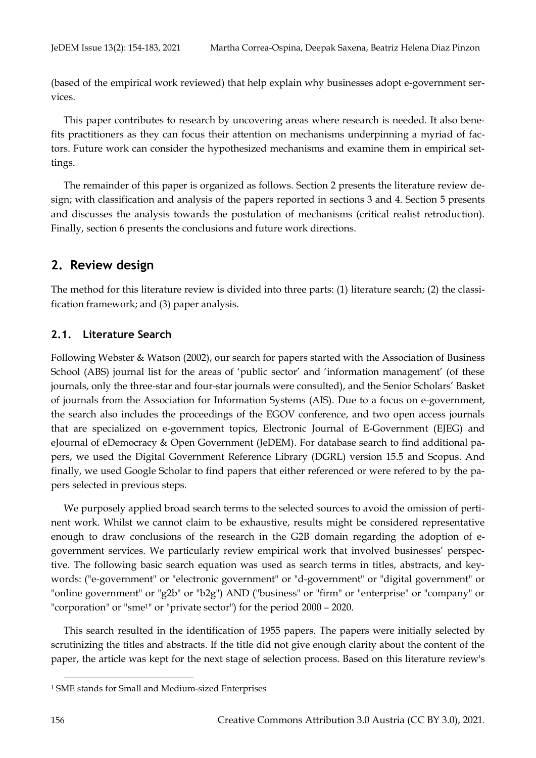(based of the empirical work reviewed) that help explain why businesses adopt e-government services.

This paper contributes to research by uncovering areas where research is needed. It also benefits practitioners as they can focus their attention on mechanisms underpinning a myriad of factors. Future work can consider the hypothesized mechanisms and examine them in empirical settings.

The remainder of this paper is organized as follows. Section 2 presents the literature review design; with classification and analysis of the papers reported in sections 3 and 4. Section 5 presents and discusses the analysis towards the postulation of mechanisms (critical realist retroduction). Finally, section 6 presents the conclusions and future work directions.

## **2. Review design**

The method for this literature review is divided into three parts: (1) literature search; (2) the classification framework; and (3) paper analysis.

### **2.1. Literature Search**

Following Webster & Watson (2002), our search for papers started with the Association of Business School (ABS) journal list for the areas of 'public sector' and 'information management' (of these journals, only the three-star and four-star journals were consulted), and the Senior Scholars' Basket of journals from the Association for Information Systems (AIS). Due to a focus on e-government, the search also includes the proceedings of the EGOV conference, and two open access journals that are specialized on e-government topics, Electronic Journal of E-Government (EJEG) and eJournal of eDemocracy & Open Government (JeDEM). For database search to find additional papers, we used the Digital Government Reference Library (DGRL) version 15.5 and Scopus. And finally, we used Google Scholar to find papers that either referenced or were refered to by the papers selected in previous steps.

We purposely applied broad search terms to the selected sources to avoid the omission of pertinent work. Whilst we cannot claim to be exhaustive, results might be considered representative enough to draw conclusions of the research in the G2B domain regarding the adoption of egovernment services. We particularly review empirical work that involved businesses' perspective. The following basic search equation was used as search terms in titles, abstracts, and keywords: ("e-government" or "electronic government" or "d-government" or "digital government" or "online government" or "g2b" or "b2g") AND ("business" or "firm" or "enterprise" or "company" or "corporation" or "sme1" or "private sector") for the period 2000 – 2020.

This search resulted in the identification of 1955 papers. The papers were initially selected by scrutinizing the titles and abstracts. If the title did not give enough clarity about the content of the paper, the article was kept for the next stage of selection process. Based on this literature review's

<sup>1</sup> SME stands for Small and Medium-sized Enterprises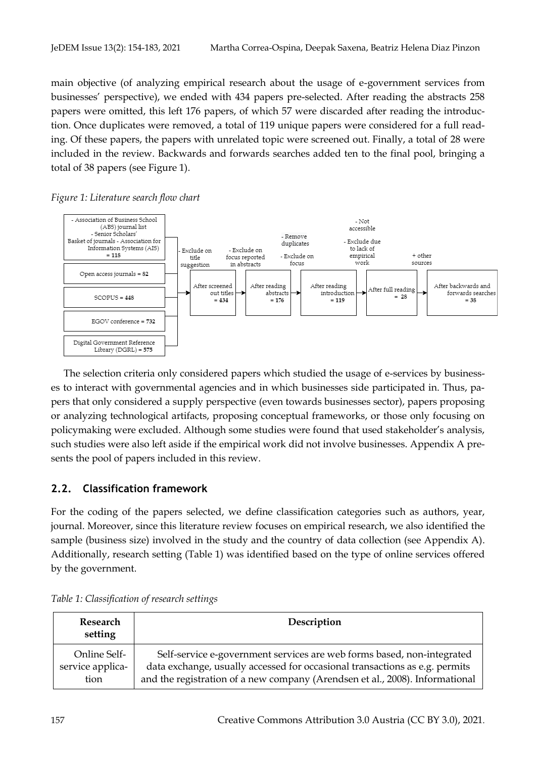main objective (of analyzing empirical research about the usage of e-government services from businesses' perspective), we ended with 434 papers pre-selected. After reading the abstracts 258 papers were omitted, this left 176 papers, of which 57 were discarded after reading the introduction. Once duplicates were removed, a total of 119 unique papers were considered for a full reading. Of these papers, the papers with unrelated topic were screened out. Finally, a total of 28 were included in the review. Backwards and forwards searches added ten to the final pool, bringing a total of 38 papers (see Figure 1).





The selection criteria only considered papers which studied the usage of e-services by businesses to interact with governmental agencies and in which businesses side participated in. Thus, papers that only considered a supply perspective (even towards businesses sector), papers proposing or analyzing technological artifacts, proposing conceptual frameworks, or those only focusing on policymaking were excluded. Although some studies were found that used stakeholder's analysis, such studies were also left aside if the empirical work did not involve businesses. Appendix A presents the pool of papers included in this review.

### **2.2. Classification framework**

For the coding of the papers selected, we define classification categories such as authors, year, journal. Moreover, since this literature review focuses on empirical research, we also identified the sample (business size) involved in the study and the country of data collection (see Appendix A). Additionally, research setting (Table 1) was identified based on the type of online services offered by the government.

| Research<br>setting | Description                                                                  |
|---------------------|------------------------------------------------------------------------------|
| Online Self-        | Self-service e-government services are web forms based, non-integrated       |
| service applica-    | data exchange, usually accessed for occasional transactions as e.g. permits  |
| tion                | and the registration of a new company (Arendsen et al., 2008). Informational |

*Table 1: Classification of research settings*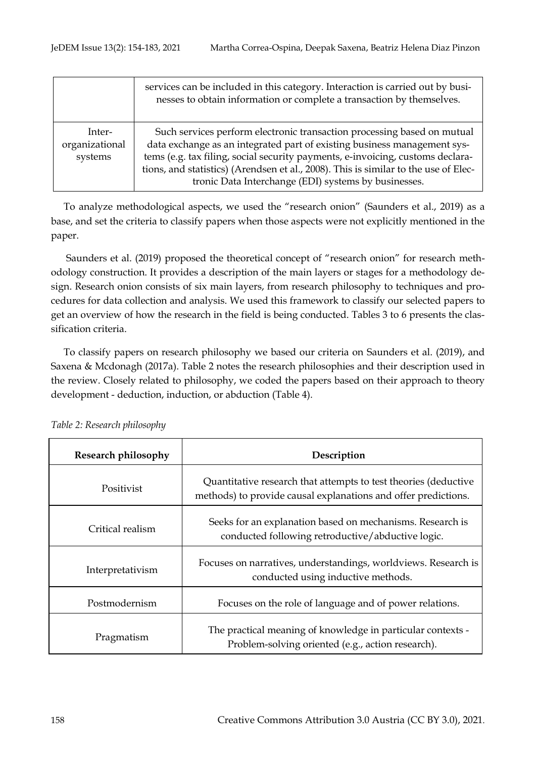|                                     | services can be included in this category. Interaction is carried out by busi-<br>nesses to obtain information or complete a transaction by themselves.                                                                                                                                                                                                                              |
|-------------------------------------|--------------------------------------------------------------------------------------------------------------------------------------------------------------------------------------------------------------------------------------------------------------------------------------------------------------------------------------------------------------------------------------|
| Inter-<br>organizational<br>systems | Such services perform electronic transaction processing based on mutual<br>data exchange as an integrated part of existing business management sys-<br>tems (e.g. tax filing, social security payments, e-invoicing, customs declara-<br>tions, and statistics) (Arendsen et al., 2008). This is similar to the use of Elec-<br>tronic Data Interchange (EDI) systems by businesses. |

To analyze methodological aspects, we used the "research onion" (Saunders et al., 2019) as a base, and set the criteria to classify papers when those aspects were not explicitly mentioned in the paper.

Saunders et al. (2019) proposed the theoretical concept of "research onion" for research methodology construction. It provides a description of the main layers or stages for a methodology design. Research onion consists of six main layers, from research philosophy to techniques and procedures for data collection and analysis. We used this framework to classify our selected papers to get an overview of how the research in the field is being conducted. Tables 3 to 6 presents the classification criteria.

To classify papers on research philosophy we based our criteria on Saunders et al. (2019), and Saxena & Mcdonagh (2017a). Table 2 notes the research philosophies and their description used in the review. Closely related to philosophy, we coded the papers based on their approach to theory development - deduction, induction, or abduction (Table 4).

| Research philosophy | Description                                                                                                                       |  |  |
|---------------------|-----------------------------------------------------------------------------------------------------------------------------------|--|--|
| Positivist          | Quantitative research that attempts to test theories (deductive<br>methods) to provide causal explanations and offer predictions. |  |  |
| Critical realism    | Seeks for an explanation based on mechanisms. Research is<br>conducted following retroductive/abductive logic.                    |  |  |
| Interpretativism    | Focuses on narratives, understandings, worldviews. Research is<br>conducted using inductive methods.                              |  |  |
| Postmodernism       | Focuses on the role of language and of power relations.                                                                           |  |  |
| Pragmatism          | The practical meaning of knowledge in particular contexts -<br>Problem-solving oriented (e.g., action research).                  |  |  |

*Table 2: Research philosophy*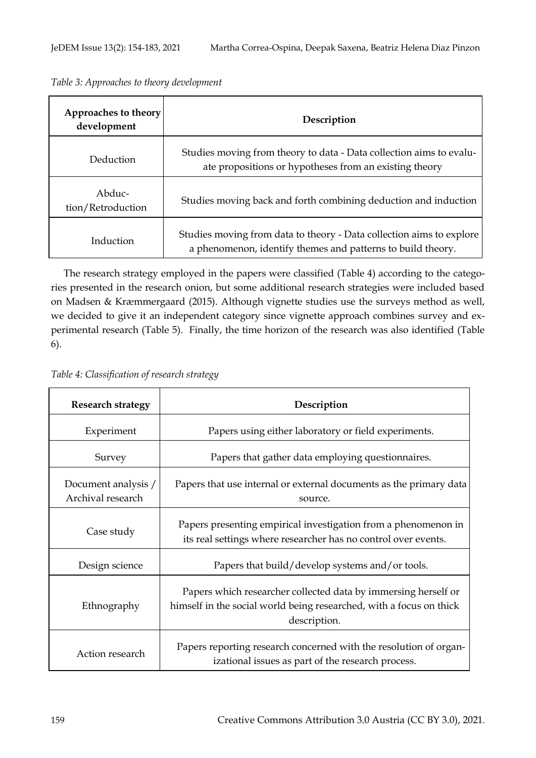| Approaches to theory<br>development | Description                                                                                                                         |  |  |
|-------------------------------------|-------------------------------------------------------------------------------------------------------------------------------------|--|--|
| Deduction                           | Studies moving from theory to data - Data collection aims to evalu-<br>ate propositions or hypotheses from an existing theory       |  |  |
| Abduc-<br>tion/Retroduction         | Studies moving back and forth combining deduction and induction                                                                     |  |  |
| Induction                           | Studies moving from data to theory - Data collection aims to explore<br>a phenomenon, identify themes and patterns to build theory. |  |  |

*Table 3: Approaches to theory development*

The research strategy employed in the papers were classified (Table 4) according to the categories presented in the research onion, but some additional research strategies were included based on Madsen & Kræmmergaard (2015). Although vignette studies use the surveys method as well, we decided to give it an independent category since vignette approach combines survey and experimental research (Table 5). Finally, the time horizon of the research was also identified (Table 6).

*Table 4: Classification of research strategy* 

| <b>Research strategy</b>                 | Description                                                                                                                                           |
|------------------------------------------|-------------------------------------------------------------------------------------------------------------------------------------------------------|
| Experiment                               | Papers using either laboratory or field experiments.                                                                                                  |
| Survey                                   | Papers that gather data employing questionnaires.                                                                                                     |
| Document analysis /<br>Archival research | Papers that use internal or external documents as the primary data<br>source.                                                                         |
| Case study                               | Papers presenting empirical investigation from a phenomenon in<br>its real settings where researcher has no control over events.                      |
| Design science                           | Papers that build/develop systems and/or tools.                                                                                                       |
| Ethnography                              | Papers which researcher collected data by immersing herself or<br>himself in the social world being researched, with a focus on thick<br>description. |
| Action research                          | Papers reporting research concerned with the resolution of organ-<br>izational issues as part of the research process.                                |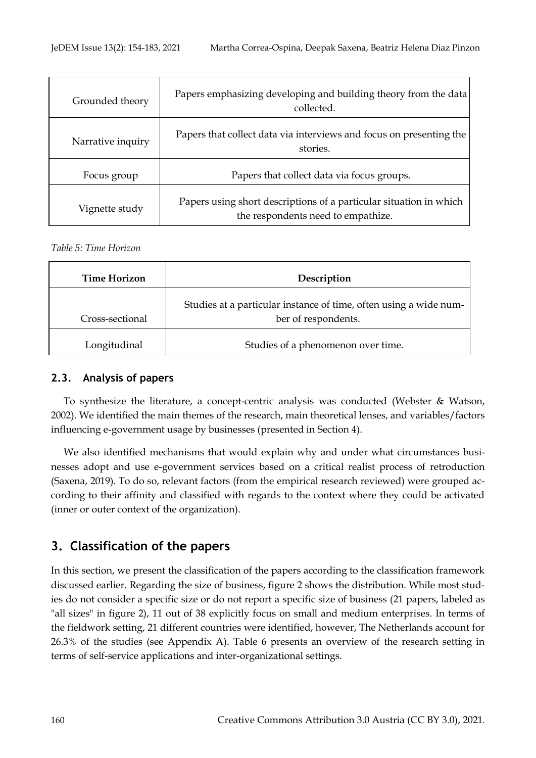| Grounded theory   | Papers emphasizing developing and building theory from the data<br>collected.                            |
|-------------------|----------------------------------------------------------------------------------------------------------|
| Narrative inquiry | Papers that collect data via interviews and focus on presenting the<br>stories.                          |
| Focus group       | Papers that collect data via focus groups.                                                               |
| Vignette study    | Papers using short descriptions of a particular situation in which<br>the respondents need to empathize. |

*Table 5: Time Horizon* 

| Time Horizon    | Description                                                                              |
|-----------------|------------------------------------------------------------------------------------------|
| Cross-sectional | Studies at a particular instance of time, often using a wide num-<br>ber of respondents. |
| Longitudinal    | Studies of a phenomenon over time.                                                       |

## **2.3. Analysis of papers**

To synthesize the literature, a concept-centric analysis was conducted (Webster & Watson, 2002). We identified the main themes of the research, main theoretical lenses, and variables/factors influencing e-government usage by businesses (presented in Section 4).

We also identified mechanisms that would explain why and under what circumstances businesses adopt and use e-government services based on a critical realist process of retroduction (Saxena, 2019). To do so, relevant factors (from the empirical research reviewed) were grouped according to their affinity and classified with regards to the context where they could be activated (inner or outer context of the organization).

# **3. Classification of the papers**

In this section, we present the classification of the papers according to the classification framework discussed earlier. Regarding the size of business, figure 2 shows the distribution. While most studies do not consider a specific size or do not report a specific size of business (21 papers, labeled as "all sizes" in figure 2), 11 out of 38 explicitly focus on small and medium enterprises. In terms of the fieldwork setting, 21 different countries were identified, however, The Netherlands account for 26.3% of the studies (see Appendix A). Table 6 presents an overview of the research setting in terms of self-service applications and inter-organizational settings.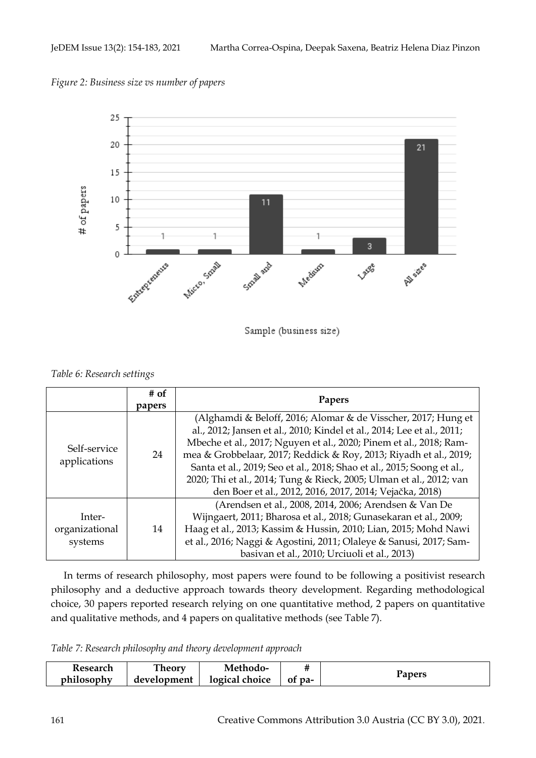*Figure 2: Business size vs number of papers* 



Sample (business size)

*Table 6: Research settings*

|                                     | $#$ of<br>papers | Papers                                                                                                                                                                                                                                                                                                                                                                                                                                                                                         |
|-------------------------------------|------------------|------------------------------------------------------------------------------------------------------------------------------------------------------------------------------------------------------------------------------------------------------------------------------------------------------------------------------------------------------------------------------------------------------------------------------------------------------------------------------------------------|
| Self-service<br>applications        | 24               | (Alghamdi & Beloff, 2016; Alomar & de Visscher, 2017; Hung et<br>al., 2012; Jansen et al., 2010; Kindel et al., 2014; Lee et al., 2011;<br>Mbeche et al., 2017; Nguyen et al., 2020; Pinem et al., 2018; Ram-<br>mea & Grobbelaar, 2017; Reddick & Roy, 2013; Riyadh et al., 2019;<br>Santa et al., 2019; Seo et al., 2018; Shao et al., 2015; Soong et al.,<br>2020; Thi et al., 2014; Tung & Rieck, 2005; Ulman et al., 2012; van<br>den Boer et al., 2012, 2016, 2017, 2014; Vejačka, 2018) |
| Inter-<br>organizational<br>systems | 14               | (Arendsen et al., 2008, 2014, 2006; Arendsen & Van De<br>Wijngaert, 2011; Bharosa et al., 2018; Gunasekaran et al., 2009;<br>Haag et al., 2013; Kassim & Hussin, 2010; Lian, 2015; Mohd Nawi<br>et al., 2016; Naggi & Agostini, 2011; Olaleye & Sanusi, 2017; Sam-<br>basivan et al., 2010; Urciuoli et al., 2013)                                                                                                                                                                             |

In terms of research philosophy, most papers were found to be following a positivist research philosophy and a deductive approach towards theory development. Regarding methodological choice, 30 papers reported research relying on one quantitative method, 2 papers on quantitative and qualitative methods, and 4 papers on qualitative methods (see Table 7).

*Table 7: Research philosophy and theory development approach*

| Research   | <b>Theory</b> | Methodo-       |        |        |
|------------|---------------|----------------|--------|--------|
| philosophy | development   | logical choice | of pa- | rapers |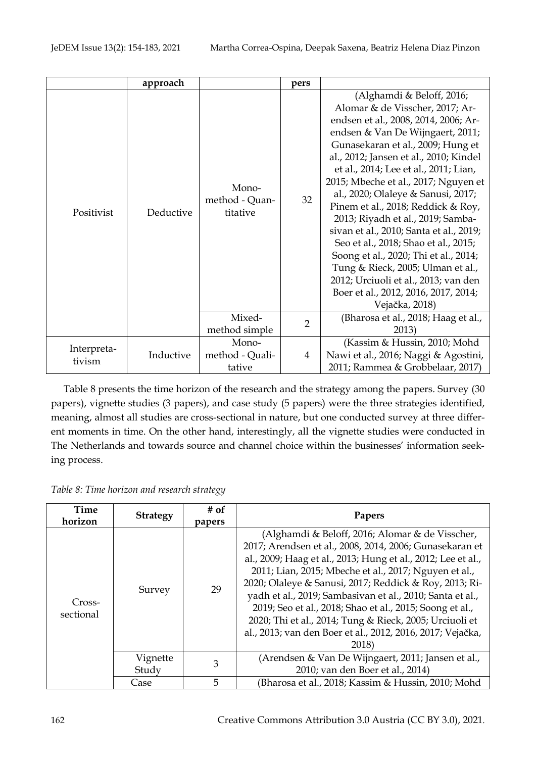|                       | approach  |                                     | pers           |                                                                                                                                                                                                                                                                                                                                                                                                                                                                                                                                                                                                                                                                                              |
|-----------------------|-----------|-------------------------------------|----------------|----------------------------------------------------------------------------------------------------------------------------------------------------------------------------------------------------------------------------------------------------------------------------------------------------------------------------------------------------------------------------------------------------------------------------------------------------------------------------------------------------------------------------------------------------------------------------------------------------------------------------------------------------------------------------------------------|
| Positivist            | Deductive | Mono-<br>method - Quan-<br>titative | 32             | (Alghamdi & Beloff, 2016;<br>Alomar & de Visscher, 2017; Ar-<br>endsen et al., 2008, 2014, 2006; Ar-<br>endsen & Van De Wijngaert, 2011;<br>Gunasekaran et al., 2009; Hung et<br>al., 2012; Jansen et al., 2010; Kindel<br>et al., 2014; Lee et al., 2011; Lian,<br>2015; Mbeche et al., 2017; Nguyen et<br>al., 2020; Olaleye & Sanusi, 2017;<br>Pinem et al., 2018; Reddick & Roy,<br>2013; Riyadh et al., 2019; Samba-<br>sivan et al., 2010; Santa et al., 2019;<br>Seo et al., 2018; Shao et al., 2015;<br>Soong et al., 2020; Thi et al., 2014;<br>Tung & Rieck, 2005; Ulman et al.,<br>2012; Urciuoli et al., 2013; van den<br>Boer et al., 2012, 2016, 2017, 2014;<br>Vejačka, 2018) |
|                       |           | Mixed-<br>method simple             | $\overline{2}$ | (Bharosa et al., 2018; Haag et al.,<br>2013)                                                                                                                                                                                                                                                                                                                                                                                                                                                                                                                                                                                                                                                 |
| Interpreta-<br>tivism | Inductive | Mono-<br>method - Quali-<br>tative  | $\overline{4}$ | (Kassim & Hussin, 2010; Mohd<br>Nawi et al., 2016; Naggi & Agostini,<br>2011; Rammea & Grobbelaar, 2017)                                                                                                                                                                                                                                                                                                                                                                                                                                                                                                                                                                                     |

Table 8 presents the time horizon of the research and the strategy among the papers. Survey (30 papers), vignette studies (3 papers), and case study (5 papers) were the three strategies identified, meaning, almost all studies are cross-sectional in nature, but one conducted survey at three different moments in time. On the other hand, interestingly, all the vignette studies were conducted in The Netherlands and towards source and channel choice within the businesses' information seeking process.

*Table 8: Time horizon and research strategy*

| Time<br>horizon     | <b>Strategy</b>   | # of<br>papers | Papers                                                                                                                                                                                                                                                                                                                                                                                                                                                                                                                                                   |
|---------------------|-------------------|----------------|----------------------------------------------------------------------------------------------------------------------------------------------------------------------------------------------------------------------------------------------------------------------------------------------------------------------------------------------------------------------------------------------------------------------------------------------------------------------------------------------------------------------------------------------------------|
| Cross-<br>sectional | Survey            | 29             | (Alghamdi & Beloff, 2016; Alomar & de Visscher,<br>2017; Arendsen et al., 2008, 2014, 2006; Gunasekaran et<br>al., 2009; Haag et al., 2013; Hung et al., 2012; Lee et al.,<br>2011; Lian, 2015; Mbeche et al., 2017; Nguyen et al.,<br>2020; Olaleye & Sanusi, 2017; Reddick & Roy, 2013; Ri-<br>yadh et al., 2019; Sambasivan et al., 2010; Santa et al.,<br>2019; Seo et al., 2018; Shao et al., 2015; Soong et al.,<br>2020; Thi et al., 2014; Tung & Rieck, 2005; Urciuoli et<br>al., 2013; van den Boer et al., 2012, 2016, 2017; Vejačka,<br>2018) |
|                     | Vignette<br>Study | 3              | (Arendsen & Van De Wijngaert, 2011; Jansen et al.,<br>2010; van den Boer et al., 2014)                                                                                                                                                                                                                                                                                                                                                                                                                                                                   |
|                     | Case              | 5              | (Bharosa et al., 2018; Kassim & Hussin, 2010; Mohd                                                                                                                                                                                                                                                                                                                                                                                                                                                                                                       |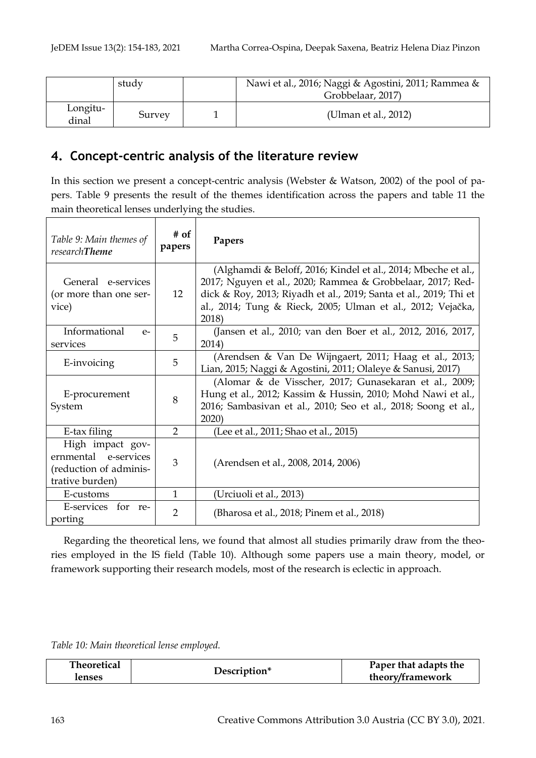|                   | study  | Nawi et al., 2016; Naggi & Agostini, 2011; Rammea &<br>Grobbelaar, 2017) |
|-------------------|--------|--------------------------------------------------------------------------|
| Longitu-<br>dinal | Survey | (Ulman et al., 2012)                                                     |

# **4. Concept-centric analysis of the literature review**

In this section we present a concept-centric analysis (Webster & Watson, 2002) of the pool of papers. Table 9 presents the result of the themes identification across the papers and table 11 the main theoretical lenses underlying the studies.

| Table 9: Main themes of<br>researchTheme                                              | # of<br>papers | Papers                                                                                                                                                                                                                                                                   |
|---------------------------------------------------------------------------------------|----------------|--------------------------------------------------------------------------------------------------------------------------------------------------------------------------------------------------------------------------------------------------------------------------|
| General e-services<br>(or more than one ser-<br>vice)                                 | 12             | (Alghamdi & Beloff, 2016; Kindel et al., 2014; Mbeche et al.,<br>2017; Nguyen et al., 2020; Rammea & Grobbelaar, 2017; Red-<br>dick & Roy, 2013; Riyadh et al., 2019; Santa et al., 2019; Thi et<br>al., 2014; Tung & Rieck, 2005; Ulman et al., 2012; Vejačka,<br>2018) |
| Informational<br>$e-$<br>services                                                     | 5              | (Jansen et al., 2010; van den Boer et al., 2012, 2016, 2017,<br>2014)                                                                                                                                                                                                    |
| E-invoicing                                                                           | 5              | (Arendsen & Van De Wijngaert, 2011; Haag et al., 2013;<br>Lian, 2015; Naggi & Agostini, 2011; Olaleye & Sanusi, 2017)                                                                                                                                                    |
| E-procurement<br>System                                                               | 8              | (Alomar & de Visscher, 2017; Gunasekaran et al., 2009;<br>Hung et al., 2012; Kassim & Hussin, 2010; Mohd Nawi et al.,<br>2016; Sambasivan et al., 2010; Seo et al., 2018; Soong et al.,<br>2020                                                                          |
| E-tax filing                                                                          | $\overline{2}$ | (Lee et al., 2011; Shao et al., 2015)                                                                                                                                                                                                                                    |
| High impact gov-<br>ernmental e-services<br>(reduction of adminis-<br>trative burden) | 3              | (Arendsen et al., 2008, 2014, 2006)                                                                                                                                                                                                                                      |
| E-customs                                                                             | 1              | (Urciuoli et al., 2013)                                                                                                                                                                                                                                                  |
| E-services for re-<br>porting                                                         | 2              | (Bharosa et al., 2018; Pinem et al., 2018)                                                                                                                                                                                                                               |

Regarding the theoretical lens, we found that almost all studies primarily draw from the theories employed in the IS field (Table 10). Although some papers use a main theory, model, or framework supporting their research models, most of the research is eclectic in approach.

*Table 10: Main theoretical lense employed.*

| <b>Theoretical</b> |              | Paper that adapts the |
|--------------------|--------------|-----------------------|
| <b>renses</b>      | Description* | theory/framework      |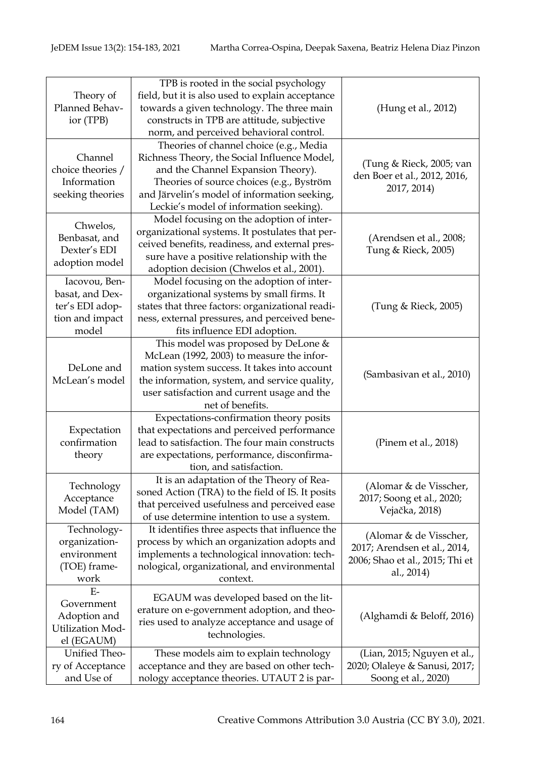| Theory of<br>Planned Behav-<br>ior (TPB)                                        | TPB is rooted in the social psychology<br>field, but it is also used to explain acceptance<br>towards a given technology. The three main<br>constructs in TPB are attitude, subjective<br>norm, and perceived behavioral control.                                     | (Hung et al., 2012)                                                                                     |
|---------------------------------------------------------------------------------|-----------------------------------------------------------------------------------------------------------------------------------------------------------------------------------------------------------------------------------------------------------------------|---------------------------------------------------------------------------------------------------------|
| Channel<br>choice theories /<br>Information<br>seeking theories                 | Theories of channel choice (e.g., Media<br>Richness Theory, the Social Influence Model,<br>and the Channel Expansion Theory).<br>Theories of source choices (e.g., Byström<br>and Järvelin's model of information seeking,<br>Leckie's model of information seeking). | (Tung & Rieck, 2005; van<br>den Boer et al., 2012, 2016,<br>2017, 2014)                                 |
| Chwelos,<br>Benbasat, and<br>Dexter's EDI<br>adoption model                     | Model focusing on the adoption of inter-<br>organizational systems. It postulates that per-<br>ceived benefits, readiness, and external pres-<br>sure have a positive relationship with the<br>adoption decision (Chwelos et al., 2001).                              | (Arendsen et al., 2008;<br>Tung & Rieck, 2005)                                                          |
| Iacovou, Ben-<br>basat, and Dex-<br>ter's EDI adop-<br>tion and impact<br>model | Model focusing on the adoption of inter-<br>organizational systems by small firms. It<br>states that three factors: organizational readi-<br>ness, external pressures, and perceived bene-<br>fits influence EDI adoption.                                            | (Tung & Rieck, 2005)                                                                                    |
| DeLone and<br>McLean's model                                                    | This model was proposed by DeLone &<br>McLean (1992, 2003) to measure the infor-<br>mation system success. It takes into account<br>the information, system, and service quality,<br>user satisfaction and current usage and the<br>net of benefits.                  | (Sambasivan et al., 2010)                                                                               |
| Expectation<br>confirmation<br>theory                                           | Expectations-confirmation theory posits<br>that expectations and perceived performance<br>lead to satisfaction. The four main constructs<br>are expectations, performance, disconfirma-<br>tion, and satisfaction.                                                    | (Pinem et al., 2018)                                                                                    |
| Technology<br>Acceptance<br>Model (TAM)                                         | It is an adaptation of the Theory of Rea-<br>soned Action (TRA) to the field of IS. It posits<br>that perceived usefulness and perceived ease<br>of use determine intention to use a system.                                                                          | (Alomar & de Visscher,<br>2017; Soong et al., 2020;<br>Vejačka, 2018)                                   |
| Technology-<br>organization-<br>environment<br>(TOE) frame-<br>work             | It identifies three aspects that influence the<br>process by which an organization adopts and<br>implements a technological innovation: tech-<br>nological, organizational, and environmental<br>context.                                                             | (Alomar & de Visscher,<br>2017; Arendsen et al., 2014,<br>2006; Shao et al., 2015; Thi et<br>al., 2014) |
| $E-$<br>Government<br>Adoption and<br><b>Utilization Mod-</b><br>el (EGAUM)     | EGAUM was developed based on the lit-<br>erature on e-government adoption, and theo-<br>ries used to analyze acceptance and usage of<br>technologies.                                                                                                                 | (Alghamdi & Beloff, 2016)                                                                               |
| Unified Theo-<br>ry of Acceptance<br>and Use of                                 | These models aim to explain technology<br>acceptance and they are based on other tech-<br>nology acceptance theories. UTAUT 2 is par-                                                                                                                                 | (Lian, 2015; Nguyen et al.,<br>2020; Olaleye & Sanusi, 2017;<br>Soong et al., 2020)                     |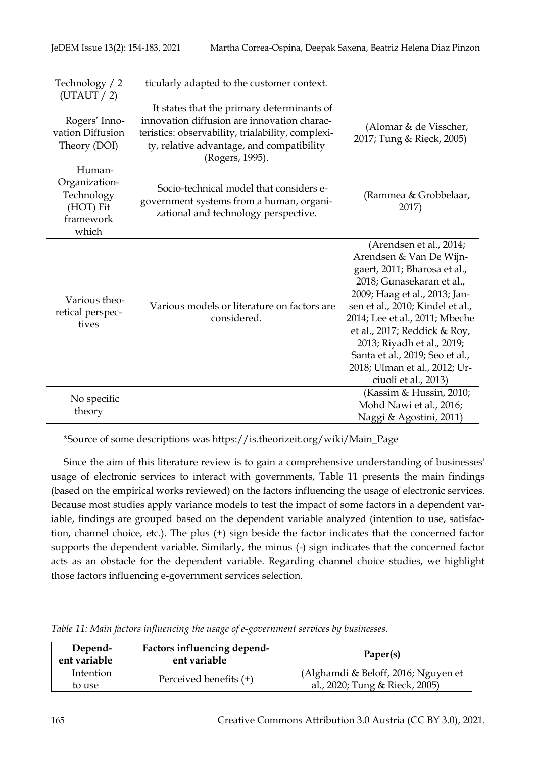| Technology / 2<br>(UTAUT / 2)                                            | ticularly adapted to the customer context.                                                                                                                                                                     |                                                                                                                                                                                                                                                                                                                                                                                  |
|--------------------------------------------------------------------------|----------------------------------------------------------------------------------------------------------------------------------------------------------------------------------------------------------------|----------------------------------------------------------------------------------------------------------------------------------------------------------------------------------------------------------------------------------------------------------------------------------------------------------------------------------------------------------------------------------|
| Rogers' Inno-<br>vation Diffusion<br>Theory (DOI)                        | It states that the primary determinants of<br>innovation diffusion are innovation charac-<br>teristics: observability, trialability, complexi-<br>ty, relative advantage, and compatibility<br>(Rogers, 1995). | (Alomar & de Visscher,<br>2017; Tung & Rieck, 2005)                                                                                                                                                                                                                                                                                                                              |
| Human-<br>Organization-<br>Technology<br>(HOT) Fit<br>framework<br>which | Socio-technical model that considers e-<br>government systems from a human, organi-<br>zational and technology perspective.                                                                                    | (Rammea & Grobbelaar,<br>2017)                                                                                                                                                                                                                                                                                                                                                   |
| Various theo-<br>retical perspec-<br>tives                               | Various models or literature on factors are<br>considered.                                                                                                                                                     | (Arendsen et al., 2014;<br>Arendsen & Van De Wijn-<br>gaert, 2011; Bharosa et al.,<br>2018; Gunasekaran et al.,<br>2009; Haag et al., 2013; Jan-<br>sen et al., 2010; Kindel et al.,<br>2014; Lee et al., 2011; Mbeche<br>et al., 2017; Reddick & Roy,<br>2013; Riyadh et al., 2019;<br>Santa et al., 2019; Seo et al.,<br>2018; Ulman et al., 2012; Ur-<br>ciuoli et al., 2013) |
| No specific<br>theory                                                    |                                                                                                                                                                                                                | (Kassim & Hussin, 2010;<br>Mohd Nawi et al., 2016;<br>Naggi & Agostini, 2011)                                                                                                                                                                                                                                                                                                    |

\*Source of some descriptions was https://is.theorizeit.org/wiki/Main\_Page

Since the aim of this literature review is to gain a comprehensive understanding of businesses' usage of electronic services to interact with governments, Table 11 presents the main findings (based on the empirical works reviewed) on the factors influencing the usage of electronic services. Because most studies apply variance models to test the impact of some factors in a dependent variable, findings are grouped based on the dependent variable analyzed (intention to use, satisfaction, channel choice, etc.). The plus (+) sign beside the factor indicates that the concerned factor supports the dependent variable. Similarly, the minus (-) sign indicates that the concerned factor acts as an obstacle for the dependent variable. Regarding channel choice studies, we highlight those factors influencing e-government services selection.

| Table 11: Main factors influencing the usage of e-government services by businesses. |  |  |  |  |
|--------------------------------------------------------------------------------------|--|--|--|--|
|--------------------------------------------------------------------------------------|--|--|--|--|

| Depend-<br>ent variable | Factors influencing depend-<br>ent variable | Paper(s)                                                              |
|-------------------------|---------------------------------------------|-----------------------------------------------------------------------|
| Intention<br>to use     | Perceived benefits (+)                      | (Alghamdi & Beloff, 2016; Nguyen et<br>al., 2020; Tung & Rieck, 2005) |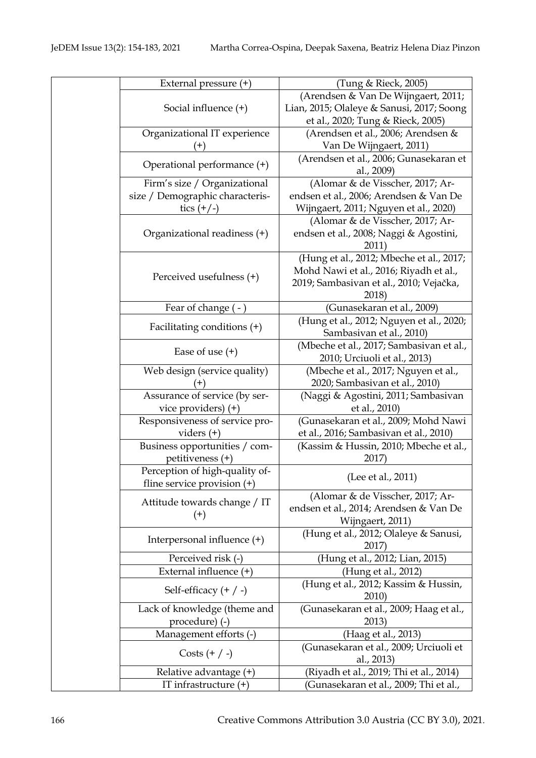| External pressure (+)           | (Tung & Rieck, 2005)                      |
|---------------------------------|-------------------------------------------|
|                                 | (Arendsen & Van De Wijngaert, 2011;       |
| Social influence $(+)$          | Lian, 2015; Olaleye & Sanusi, 2017; Soong |
|                                 | et al., 2020; Tung & Rieck, 2005)         |
| Organizational IT experience    | (Arendsen et al., 2006; Arendsen &        |
| $(+)$                           | Van De Wijngaert, 2011)                   |
|                                 | (Arendsen et al., 2006; Gunasekaran et    |
| Operational performance (+)     | al., 2009)                                |
| Firm's size / Organizational    | (Alomar & de Visscher, 2017; Ar-          |
| size / Demographic characteris- | endsen et al., 2006; Arendsen & Van De    |
| tics $(+/-)$                    | Wijngaert, 2011; Nguyen et al., 2020)     |
|                                 | (Alomar & de Visscher, 2017; Ar-          |
| Organizational readiness (+)    | endsen et al., 2008; Naggi & Agostini,    |
|                                 | 2011)                                     |
|                                 | (Hung et al., 2012; Mbeche et al., 2017;  |
|                                 | Mohd Nawi et al., 2016; Riyadh et al.,    |
| Perceived usefulness (+)        | 2019; Sambasivan et al., 2010; Vejačka,   |
|                                 | 2018)                                     |
| Fear of change (-)              | (Gunasekaran et al., 2009)                |
|                                 | (Hung et al., 2012; Nguyen et al., 2020;  |
| Facilitating conditions (+)     | Sambasivan et al., 2010)                  |
|                                 | (Mbeche et al., 2017; Sambasivan et al.,  |
| Ease of use $(+)$               | 2010; Urciuoli et al., 2013)              |
| Web design (service quality)    | (Mbeche et al., 2017; Nguyen et al.,      |
|                                 | 2020; Sambasivan et al., 2010)            |
| Assurance of service (by ser-   | (Naggi & Agostini, 2011; Sambasivan       |
| vice providers) (+)             | et al., 2010)                             |
| Responsiveness of service pro-  | (Gunasekaran et al., 2009; Mohd Nawi      |
| viders $(+)$                    | et al., 2016; Sambasivan et al., 2010)    |
| Business opportunities / com-   | (Kassim & Hussin, 2010; Mbeche et al.,    |
| petitiveness (+)                | 2017)                                     |
| Perception of high-quality of-  |                                           |
| fline service provision $(+)$   | (Lee et al., 2011)                        |
|                                 | (Alomar & de Visscher, 2017; Ar-          |
| Attitude towards change / IT    | endsen et al., 2014; Arendsen & Van De    |
| $^{(+)}$                        | Wijngaert, 2011)                          |
| Interpersonal influence (+)     | (Hung et al., 2012; Olaleye & Sanusi,     |
|                                 | 2017)                                     |
| Perceived risk (-)              | (Hung et al., 2012; Lian, 2015)           |
| External influence $(+)$        | (Hung et al., 2012)                       |
|                                 | (Hung et al., 2012; Kassim & Hussin,      |
| Self-efficacy $(+ / -)$         | 2010)                                     |
| Lack of knowledge (theme and    | (Gunasekaran et al., 2009; Haag et al.,   |
| procedure) (-)                  | 2013)                                     |
| Management efforts (-)          | (Haag et al., 2013)                       |
|                                 | (Gunasekaran et al., 2009; Urciuoli et    |
| Costs $(+ / -)$                 | al., 2013)                                |
| Relative advantage (+)          | (Riyadh et al., 2019; Thi et al., 2014)   |
| IT infrastructure $(+)$         | (Gunasekaran et al., 2009; Thi et al.,    |
|                                 |                                           |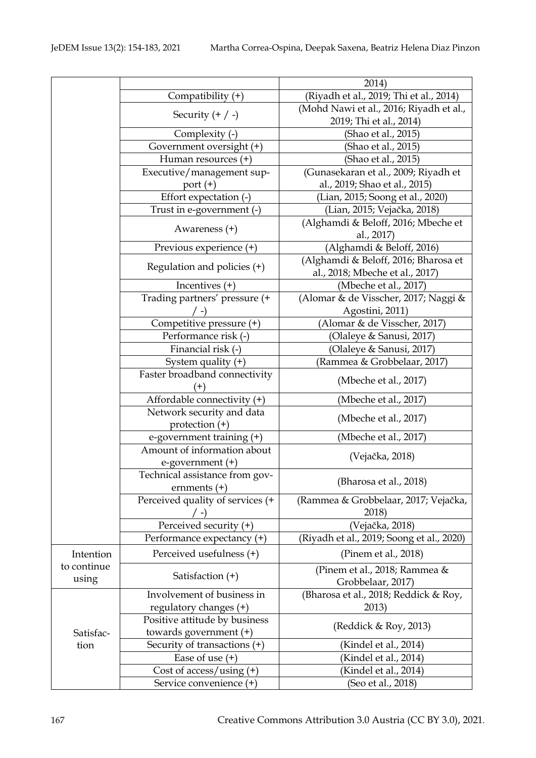|             |                                  | 2014)                                     |
|-------------|----------------------------------|-------------------------------------------|
|             | Compatibility (+)                | (Riyadh et al., 2019; Thi et al., 2014)   |
|             | Security $(+ / -)$               | (Mohd Nawi et al., 2016; Riyadh et al.,   |
|             |                                  | 2019; Thi et al., 2014)                   |
|             | Complexity (-)                   | (Shao et al., 2015)                       |
|             | Government oversight (+)         | (Shao et al., 2015)                       |
|             | Human resources $(+)$            | (Shao et al., 2015)                       |
|             | Executive/management sup-        | (Gunasekaran et al., 2009; Riyadh et      |
|             | port $(+)$                       | al., 2019; Shao et al., 2015)             |
|             | Effort expectation (-)           | (Lian, 2015; Soong et al., 2020)          |
|             | Trust in e-government (-)        | (Lian, 2015; Vejačka, 2018)               |
|             |                                  | (Alghamdi & Beloff, 2016; Mbeche et       |
|             | Awareness (+)                    | al., 2017)                                |
|             | Previous experience (+)          | (Alghamdi & Beloff, 2016)                 |
|             |                                  | (Alghamdi & Beloff, 2016; Bharosa et      |
|             | Regulation and policies $(+)$    | al., 2018; Mbeche et al., 2017)           |
|             | Incentives $(+)$                 | (Mbeche et al., 2017)                     |
|             | Trading partners' pressure (+    | (Alomar & de Visscher, 2017; Naggi &      |
|             |                                  | Agostini, 2011)                           |
|             | Competitive pressure (+)         | (Alomar & de Visscher, 2017)              |
|             | Performance risk (-)             | (Olaleye & Sanusi, 2017)                  |
|             | Financial risk (-)               | (Olaleye & Sanusi, 2017)                  |
|             | System quality $(+)$             | (Rammea & Grobbelaar, 2017)               |
|             | Faster broadband connectivity    |                                           |
|             |                                  | (Mbeche et al., 2017)                     |
|             | Affordable connectivity (+)      | (Mbeche et al., 2017)                     |
|             | Network security and data        |                                           |
|             | protection $(+)$                 | (Mbeche et al., 2017)                     |
|             | e-government training (+)        | (Mbeche et al., 2017)                     |
|             | Amount of information about      |                                           |
|             | e-government (+)                 | (Vejačka, 2018)                           |
|             | Technical assistance from gov-   |                                           |
|             | ernments $(+)$                   | (Bharosa et al., 2018)                    |
|             | Perceived quality of services (+ | (Rammea & Grobbelaar, 2017; Vejačka,      |
|             |                                  | 2018)                                     |
|             | Perceived security (+)           | (Vejačka, 2018)                           |
|             | Performance expectancy (+)       | (Riyadh et al., 2019; Soong et al., 2020) |
| Intention   | Perceived usefulness (+)         | (Pinem et al., 2018)                      |
| to continue |                                  | (Pinem et al., 2018; Rammea &             |
| using       | Satisfaction (+)                 | Grobbelaar, 2017)                         |
|             | Involvement of business in       | (Bharosa et al., 2018; Reddick & Roy,     |
|             | regulatory changes $(+)$         | 2013)                                     |
|             | Positive attitude by business    |                                           |
| Satisfac-   | towards government $(+)$         | (Reddick & Roy, 2013)                     |
| tion        | Security of transactions (+)     | (Kindel et al., 2014)                     |
|             | Ease of use $(+)$                | (Kindel et al., 2014)                     |
|             | Cost of access/using $(+)$       | (Kindel et al., 2014)                     |
|             | Service convenience (+)          | (Seo et al., 2018)                        |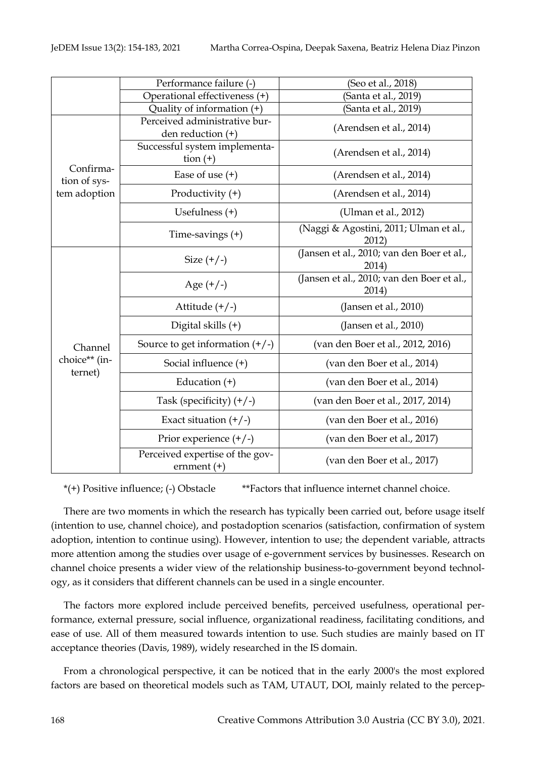|                           | Performance failure (-)                               | (Seo et al., 2018)                                  |
|---------------------------|-------------------------------------------------------|-----------------------------------------------------|
|                           | Operational effectiveness (+)                         | (Santa et al., 2019)                                |
|                           | Quality of information $(+)$                          | (Santa et al., 2019)                                |
|                           | Perceived administrative bur-<br>den reduction $(+)$  | (Arendsen et al., 2014)                             |
|                           | Successful system implementa-<br>$\frac{1}{\tan (+)}$ | (Arendsen et al., 2014)                             |
| Confirma-<br>tion of sys- | Ease of use $(+)$                                     | (Arendsen et al., 2014)                             |
| tem adoption              | Productivity $(+)$                                    | (Arendsen et al., 2014)                             |
|                           | Usefulness $(+)$                                      | (Ulman et al., 2012)                                |
|                           | Time-savings $(+)$                                    | (Naggi & Agostini, 2011; Ulman et al.,<br>2012)     |
|                           | Size $(+/-)$                                          | (Jansen et al., 2010; van den Boer et al.,<br>2014) |
|                           | Age $(+/-)$                                           | (Jansen et al., 2010; van den Boer et al.,<br>2014) |
|                           | Attitude $(+/-)$                                      | (Jansen et al., 2010)                               |
|                           | Digital skills (+)                                    | (Jansen et al., 2010)                               |
| Channel                   | Source to get information $(+/-)$                     | (van den Boer et al., 2012, 2016)                   |
| choice** (in-<br>ternet)  | Social influence (+)                                  | (van den Boer et al., 2014)                         |
|                           | Education $(+)$                                       | (van den Boer et al., 2014)                         |
|                           | Task (specificity) $(+/-)$                            | (van den Boer et al., 2017, 2014)                   |
|                           | Exact situation $(+/-)$                               | (van den Boer et al., 2016)                         |
|                           | Prior experience $(+/-)$                              | (van den Boer et al., 2017)                         |
|                           | Perceived expertise of the gov-<br>ernment $(+)$      | (van den Boer et al., 2017)                         |

\*(+) Positive influence; (-) Obstacle \*\*Factors that influence internet channel choice.

There are two moments in which the research has typically been carried out, before usage itself (intention to use, channel choice), and postadoption scenarios (satisfaction, confirmation of system adoption, intention to continue using). However, intention to use; the dependent variable, attracts more attention among the studies over usage of e-government services by businesses. Research on channel choice presents a wider view of the relationship business-to-government beyond technology, as it considers that different channels can be used in a single encounter.

The factors more explored include perceived benefits, perceived usefulness, operational performance, external pressure, social influence, organizational readiness, facilitating conditions, and ease of use. All of them measured towards intention to use. Such studies are mainly based on IT acceptance theories (Davis, 1989), widely researched in the IS domain.

From a chronological perspective, it can be noticed that in the early 2000's the most explored factors are based on theoretical models such as TAM, UTAUT, DOI, mainly related to the percep-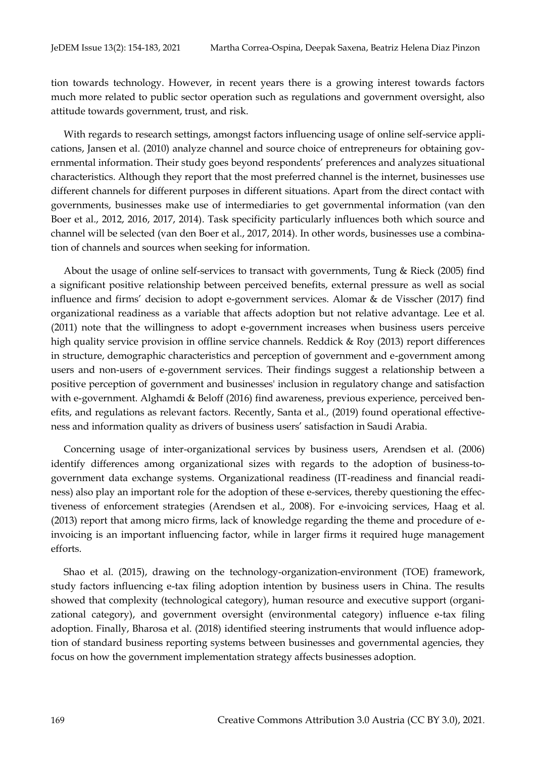tion towards technology. However, in recent years there is a growing interest towards factors much more related to public sector operation such as regulations and government oversight, also attitude towards government, trust, and risk.

With regards to research settings, amongst factors influencing usage of online self-service applications, Jansen et al. (2010) analyze channel and source choice of entrepreneurs for obtaining governmental information. Their study goes beyond respondents' preferences and analyzes situational characteristics. Although they report that the most preferred channel is the internet, businesses use different channels for different purposes in different situations. Apart from the direct contact with governments, businesses make use of intermediaries to get governmental information (van den Boer et al., 2012, 2016, 2017, 2014). Task specificity particularly influences both which source and channel will be selected (van den Boer et al., 2017, 2014). In other words, businesses use a combination of channels and sources when seeking for information.

About the usage of online self-services to transact with governments, Tung & Rieck (2005) find a significant positive relationship between perceived benefits, external pressure as well as social influence and firms' decision to adopt e-government services. Alomar & de Visscher (2017) find organizational readiness as a variable that affects adoption but not relative advantage. Lee et al. (2011) note that the willingness to adopt e-government increases when business users perceive high quality service provision in offline service channels. Reddick & Roy (2013) report differences in structure, demographic characteristics and perception of government and e-government among users and non-users of e-government services. Their findings suggest a relationship between a positive perception of government and businesses' inclusion in regulatory change and satisfaction with e-government. Alghamdi & Beloff (2016) find awareness, previous experience, perceived benefits, and regulations as relevant factors. Recently, Santa et al., (2019) found operational effectiveness and information quality as drivers of business users' satisfaction in Saudi Arabia.

Concerning usage of inter-organizational services by business users, Arendsen et al. (2006) identify differences among organizational sizes with regards to the adoption of business-togovernment data exchange systems. Organizational readiness (IT-readiness and financial readiness) also play an important role for the adoption of these e-services, thereby questioning the effectiveness of enforcement strategies (Arendsen et al., 2008). For e-invoicing services, Haag et al. (2013) report that among micro firms, lack of knowledge regarding the theme and procedure of einvoicing is an important influencing factor, while in larger firms it required huge management efforts.

Shao et al. (2015), drawing on the technology-organization-environment (TOE) framework, study factors influencing e-tax filing adoption intention by business users in China. The results showed that complexity (technological category), human resource and executive support (organizational category), and government oversight (environmental category) influence e-tax filing adoption. Finally, Bharosa et al. (2018) identified steering instruments that would influence adoption of standard business reporting systems between businesses and governmental agencies, they focus on how the government implementation strategy affects businesses adoption.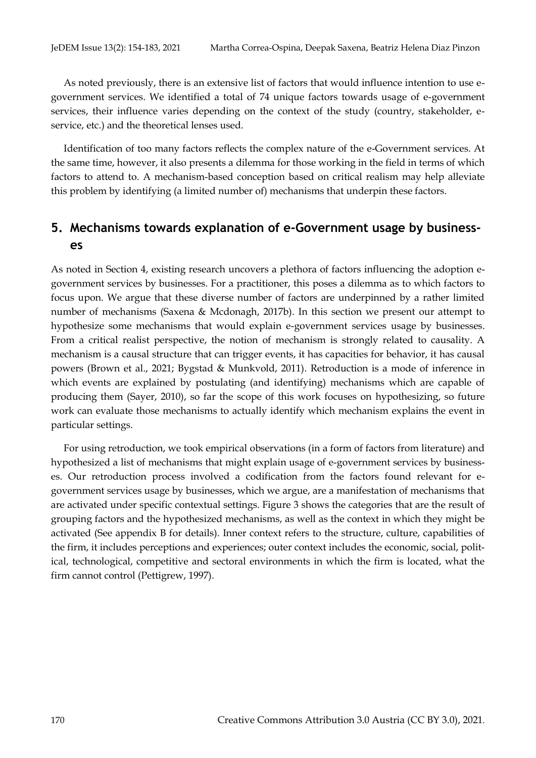As noted previously, there is an extensive list of factors that would influence intention to use egovernment services. We identified a total of 74 unique factors towards usage of e-government services, their influence varies depending on the context of the study (country, stakeholder, eservice, etc.) and the theoretical lenses used.

Identification of too many factors reflects the complex nature of the e-Government services. At the same time, however, it also presents a dilemma for those working in the field in terms of which factors to attend to. A mechanism-based conception based on critical realism may help alleviate this problem by identifying (a limited number of) mechanisms that underpin these factors.

# **5. Mechanisms towards explanation of e-Government usage by businesses**

As noted in Section 4, existing research uncovers a plethora of factors influencing the adoption egovernment services by businesses. For a practitioner, this poses a dilemma as to which factors to focus upon. We argue that these diverse number of factors are underpinned by a rather limited number of mechanisms (Saxena & Mcdonagh, 2017b). In this section we present our attempt to hypothesize some mechanisms that would explain e-government services usage by businesses. From a critical realist perspective, the notion of mechanism is strongly related to causality. A mechanism is a causal structure that can trigger events, it has capacities for behavior, it has causal powers (Brown et al., 2021; Bygstad & Munkvold, 2011). Retroduction is a mode of inference in which events are explained by postulating (and identifying) mechanisms which are capable of producing them (Sayer, 2010), so far the scope of this work focuses on hypothesizing, so future work can evaluate those mechanisms to actually identify which mechanism explains the event in particular settings.

For using retroduction, we took empirical observations (in a form of factors from literature) and hypothesized a list of mechanisms that might explain usage of e-government services by businesses. Our retroduction process involved a codification from the factors found relevant for egovernment services usage by businesses, which we argue, are a manifestation of mechanisms that are activated under specific contextual settings. Figure 3 shows the categories that are the result of grouping factors and the hypothesized mechanisms, as well as the context in which they might be activated (See appendix B for details). Inner context refers to the structure, culture, capabilities of the firm, it includes perceptions and experiences; outer context includes the economic, social, political, technological, competitive and sectoral environments in which the firm is located, what the firm cannot control (Pettigrew, 1997).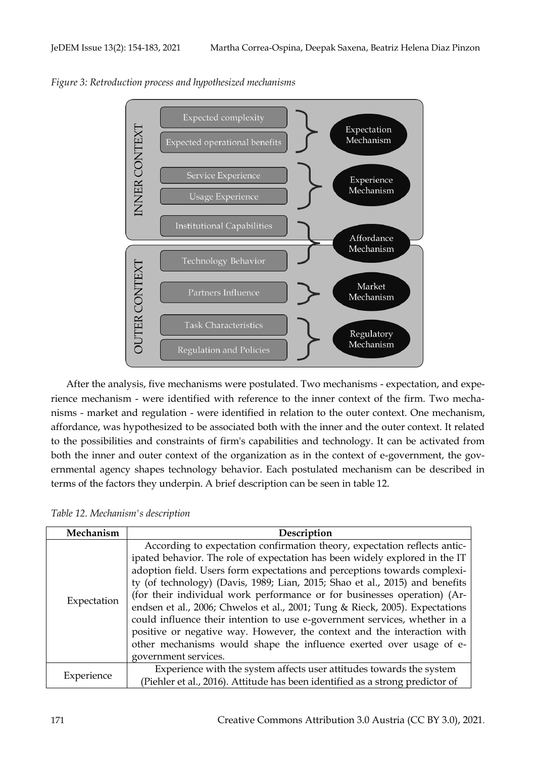

*Figure 3: Retroduction process and hypothesized mechanisms*

After the analysis, five mechanisms were postulated. Two mechanisms - expectation, and experience mechanism - were identified with reference to the inner context of the firm. Two mechanisms - market and regulation - were identified in relation to the outer context. One mechanism, affordance, was hypothesized to be associated both with the inner and the outer context. It related to the possibilities and constraints of firm's capabilities and technology. It can be activated from both the inner and outer context of the organization as in the context of e-government, the governmental agency shapes technology behavior. Each postulated mechanism can be described in terms of the factors they underpin. A brief description can be seen in table 12.

| Mechanism   | Description                                                                                                                                                                                                                                                                                                                                                                                                                                                                                                                                                                                                                                                                                                                               |
|-------------|-------------------------------------------------------------------------------------------------------------------------------------------------------------------------------------------------------------------------------------------------------------------------------------------------------------------------------------------------------------------------------------------------------------------------------------------------------------------------------------------------------------------------------------------------------------------------------------------------------------------------------------------------------------------------------------------------------------------------------------------|
| Expectation | According to expectation confirmation theory, expectation reflects antic-<br>ipated behavior. The role of expectation has been widely explored in the IT<br>adoption field. Users form expectations and perceptions towards complexi-<br>ty (of technology) (Davis, 1989; Lian, 2015; Shao et al., 2015) and benefits<br>(for their individual work performance or for businesses operation) (Ar-<br>endsen et al., 2006; Chwelos et al., 2001; Tung & Rieck, 2005). Expectations<br>could influence their intention to use e-government services, whether in a<br>positive or negative way. However, the context and the interaction with<br>other mechanisms would shape the influence exerted over usage of e-<br>government services. |
| Experience  | Experience with the system affects user attitudes towards the system<br>(Piehler et al., 2016). Attitude has been identified as a strong predictor of                                                                                                                                                                                                                                                                                                                                                                                                                                                                                                                                                                                     |

*Table 12. Mechanism's description*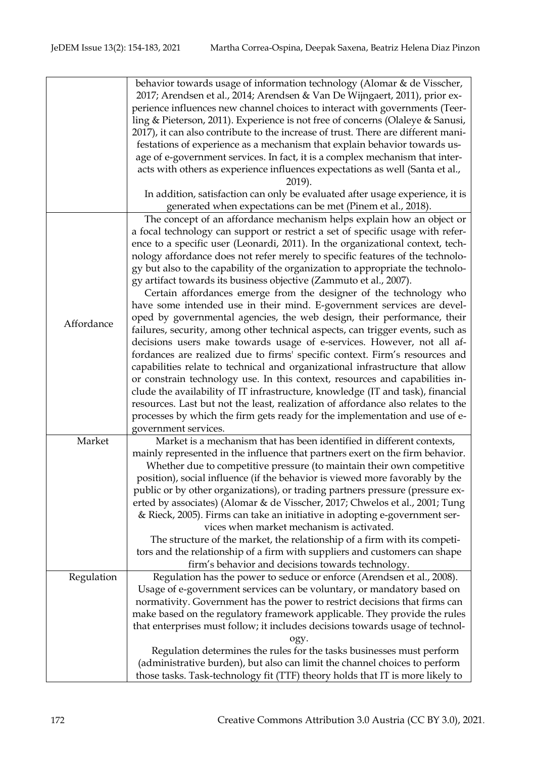|            | behavior towards usage of information technology (Alomar & de Visscher,           |
|------------|-----------------------------------------------------------------------------------|
|            | 2017; Arendsen et al., 2014; Arendsen & Van De Wijngaert, 2011), prior ex-        |
|            | perience influences new channel choices to interact with governments (Teer-       |
|            | ling & Pieterson, 2011). Experience is not free of concerns (Olaleye & Sanusi,    |
|            | 2017), it can also contribute to the increase of trust. There are different mani- |
|            | festations of experience as a mechanism that explain behavior towards us-         |
|            | age of e-government services. In fact, it is a complex mechanism that inter-      |
|            | acts with others as experience influences expectations as well (Santa et al.,     |
|            | 2019).                                                                            |
|            | In addition, satisfaction can only be evaluated after usage experience, it is     |
|            | generated when expectations can be met (Pinem et al., 2018).                      |
|            | The concept of an affordance mechanism helps explain how an object or             |
|            | a focal technology can support or restrict a set of specific usage with refer-    |
|            | ence to a specific user (Leonardi, 2011). In the organizational context, tech-    |
|            | nology affordance does not refer merely to specific features of the technolo-     |
|            | gy but also to the capability of the organization to appropriate the technolo-    |
|            |                                                                                   |
|            | gy artifact towards its business objective (Zammuto et al., 2007).                |
|            | Certain affordances emerge from the designer of the technology who                |
|            | have some intended use in their mind. E-government services are devel-            |
| Affordance | oped by governmental agencies, the web design, their performance, their           |
|            | failures, security, among other technical aspects, can trigger events, such as    |
|            | decisions users make towards usage of e-services. However, not all af-            |
|            | fordances are realized due to firms' specific context. Firm's resources and       |
|            | capabilities relate to technical and organizational infrastructure that allow     |
|            | or constrain technology use. In this context, resources and capabilities in-      |
|            | clude the availability of IT infrastructure, knowledge (IT and task), financial   |
|            | resources. Last but not the least, realization of affordance also relates to the  |
|            | processes by which the firm gets ready for the implementation and use of e-       |
|            | government services.                                                              |
| Market     | Market is a mechanism that has been identified in different contexts,             |
|            | mainly represented in the influence that partners exert on the firm behavior.     |
|            | Whether due to competitive pressure (to maintain their own competitive            |
|            | position), social influence (if the behavior is viewed more favorably by the      |
|            | public or by other organizations), or trading partners pressure (pressure ex-     |
|            | erted by associates) (Alomar & de Visscher, 2017; Chwelos et al., 2001; Tung      |
|            | & Rieck, 2005). Firms can take an initiative in adopting e-government ser-        |
|            | vices when market mechanism is activated.                                         |
|            | The structure of the market, the relationship of a firm with its competi-         |
|            |                                                                                   |
|            | tors and the relationship of a firm with suppliers and customers can shape        |
|            | firm's behavior and decisions towards technology.                                 |
| Regulation | Regulation has the power to seduce or enforce (Arendsen et al., 2008).            |
|            | Usage of e-government services can be voluntary, or mandatory based on            |
|            | normativity. Government has the power to restrict decisions that firms can        |
|            | make based on the regulatory framework applicable. They provide the rules         |
|            | that enterprises must follow; it includes decisions towards usage of technol-     |
|            | ogy.                                                                              |
|            | Regulation determines the rules for the tasks businesses must perform             |
|            | (administrative burden), but also can limit the channel choices to perform        |
|            | those tasks. Task-technology fit (TTF) theory holds that IT is more likely to     |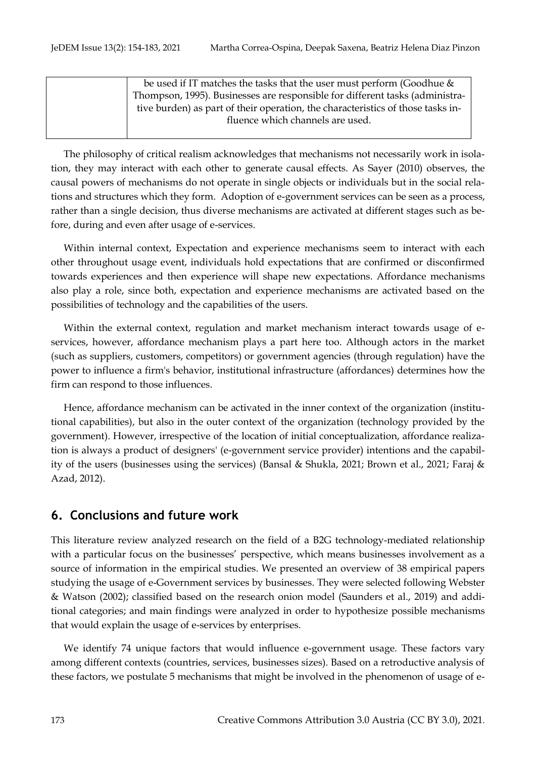| be used if IT matches the tasks that the user must perform (Goodhue $\&$        |
|---------------------------------------------------------------------------------|
| Thompson, 1995). Businesses are responsible for different tasks (administra-    |
| tive burden) as part of their operation, the characteristics of those tasks in- |
| fluence which channels are used.                                                |
|                                                                                 |

The philosophy of critical realism acknowledges that mechanisms not necessarily work in isolation, they may interact with each other to generate causal effects. As Sayer (2010) observes, the causal powers of mechanisms do not operate in single objects or individuals but in the social relations and structures which they form. Adoption of e-government services can be seen as a process, rather than a single decision, thus diverse mechanisms are activated at different stages such as before, during and even after usage of e-services.

Within internal context, Expectation and experience mechanisms seem to interact with each other throughout usage event, individuals hold expectations that are confirmed or disconfirmed towards experiences and then experience will shape new expectations. Affordance mechanisms also play a role, since both, expectation and experience mechanisms are activated based on the possibilities of technology and the capabilities of the users.

Within the external context, regulation and market mechanism interact towards usage of eservices, however, affordance mechanism plays a part here too. Although actors in the market (such as suppliers, customers, competitors) or government agencies (through regulation) have the power to influence a firm's behavior, institutional infrastructure (affordances) determines how the firm can respond to those influences.

Hence, affordance mechanism can be activated in the inner context of the organization (institutional capabilities), but also in the outer context of the organization (technology provided by the government). However, irrespective of the location of initial conceptualization, affordance realization is always a product of designers' (e-government service provider) intentions and the capability of the users (businesses using the services) (Bansal & Shukla, 2021; Brown et al., 2021; Faraj & Azad, 2012).

# **6. Conclusions and future work**

This literature review analyzed research on the field of a B2G technology-mediated relationship with a particular focus on the businesses' perspective, which means businesses involvement as a source of information in the empirical studies. We presented an overview of 38 empirical papers studying the usage of e-Government services by businesses. They were selected following Webster & Watson (2002); classified based on the research onion model (Saunders et al., 2019) and additional categories; and main findings were analyzed in order to hypothesize possible mechanisms that would explain the usage of e-services by enterprises.

We identify 74 unique factors that would influence e-government usage. These factors vary among different contexts (countries, services, businesses sizes). Based on a retroductive analysis of these factors, we postulate 5 mechanisms that might be involved in the phenomenon of usage of e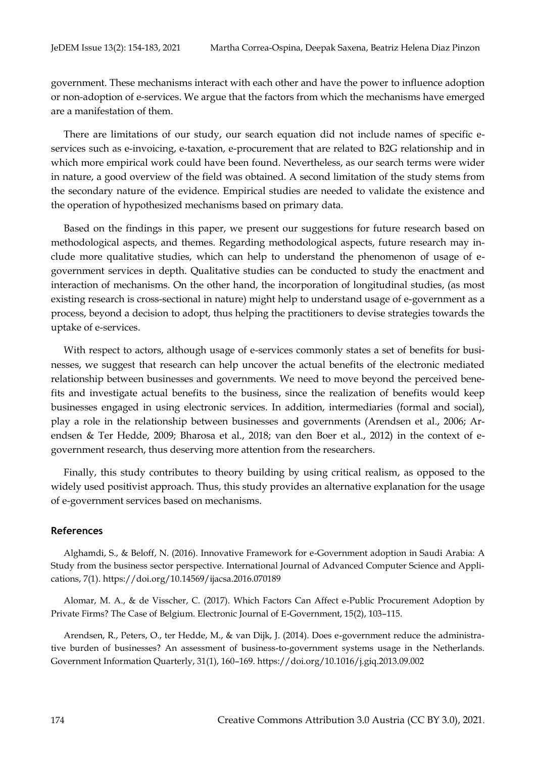government. These mechanisms interact with each other and have the power to influence adoption or non-adoption of e-services. We argue that the factors from which the mechanisms have emerged are a manifestation of them.

There are limitations of our study, our search equation did not include names of specific eservices such as e-invoicing, e-taxation, e-procurement that are related to B2G relationship and in which more empirical work could have been found. Nevertheless, as our search terms were wider in nature, a good overview of the field was obtained. A second limitation of the study stems from the secondary nature of the evidence. Empirical studies are needed to validate the existence and the operation of hypothesized mechanisms based on primary data.

Based on the findings in this paper, we present our suggestions for future research based on methodological aspects, and themes. Regarding methodological aspects, future research may include more qualitative studies, which can help to understand the phenomenon of usage of egovernment services in depth. Qualitative studies can be conducted to study the enactment and interaction of mechanisms. On the other hand, the incorporation of longitudinal studies, (as most existing research is cross-sectional in nature) might help to understand usage of e-government as a process, beyond a decision to adopt, thus helping the practitioners to devise strategies towards the uptake of e-services.

With respect to actors, although usage of e-services commonly states a set of benefits for businesses, we suggest that research can help uncover the actual benefits of the electronic mediated relationship between businesses and governments. We need to move beyond the perceived benefits and investigate actual benefits to the business, since the realization of benefits would keep businesses engaged in using electronic services. In addition, intermediaries (formal and social), play a role in the relationship between businesses and governments (Arendsen et al., 2006; Arendsen & Ter Hedde, 2009; Bharosa et al., 2018; van den Boer et al., 2012) in the context of egovernment research, thus deserving more attention from the researchers.

Finally, this study contributes to theory building by using critical realism, as opposed to the widely used positivist approach. Thus, this study provides an alternative explanation for the usage of e-government services based on mechanisms.

### **References**

Alghamdi, S., & Beloff, N. (2016). Innovative Framework for e-Government adoption in Saudi Arabia: A Study from the business sector perspective. International Journal of Advanced Computer Science and Applications, 7(1). https://doi.org/10.14569/ijacsa.2016.070189

Alomar, M. A., & de Visscher, C. (2017). Which Factors Can Affect e-Public Procurement Adoption by Private Firms? The Case of Belgium. Electronic Journal of E-Government, 15(2), 103–115.

Arendsen, R., Peters, O., ter Hedde, M., & van Dijk, J. (2014). Does e-government reduce the administrative burden of businesses? An assessment of business-to-government systems usage in the Netherlands. Government Information Quarterly, 31(1), 160–169. https://doi.org/10.1016/j.giq.2013.09.002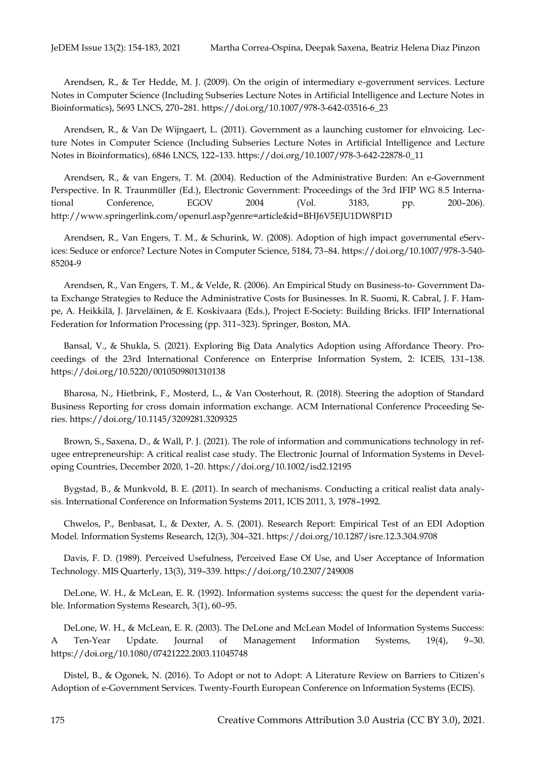Arendsen, R., & Ter Hedde, M. J. (2009). On the origin of intermediary e-government services. Lecture Notes in Computer Science (Including Subseries Lecture Notes in Artificial Intelligence and Lecture Notes in Bioinformatics), 5693 LNCS, 270–281. https://doi.org/10.1007/978-3-642-03516-6\_23

Arendsen, R., & Van De Wijngaert, L. (2011). Government as a launching customer for eInvoicing. Lecture Notes in Computer Science (Including Subseries Lecture Notes in Artificial Intelligence and Lecture Notes in Bioinformatics), 6846 LNCS, 122–133. https://doi.org/10.1007/978-3-642-22878-0\_11

Arendsen, R., & van Engers, T. M. (2004). Reduction of the Administrative Burden: An e-Government Perspective. In R. Traunmüller (Ed.), Electronic Government: Proceedings of the 3rd IFIP WG 8.5 International Conference, EGOV 2004 (Vol. 3183, pp. 200–206). http://www.springerlink.com/openurl.asp?genre=article&id=BHJ6V5EJU1DW8P1D

Arendsen, R., Van Engers, T. M., & Schurink, W. (2008). Adoption of high impact governmental eServices: Seduce or enforce? Lecture Notes in Computer Science, 5184, 73–84. https://doi.org/10.1007/978-3-540- 85204-9

Arendsen, R., Van Engers, T. M., & Velde, R. (2006). An Empirical Study on Business-to- Government Data Exchange Strategies to Reduce the Administrative Costs for Businesses. In R. Suomi, R. Cabral, J. F. Hampe, A. Heikkilä, J. Järveläinen, & E. Koskivaara (Eds.), Project E-Society: Building Bricks. IFIP International Federation for Information Processing (pp. 311–323). Springer, Boston, MA.

Bansal, V., & Shukla, S. (2021). Exploring Big Data Analytics Adoption using Affordance Theory. Proceedings of the 23rd International Conference on Enterprise Information System, 2: ICEIS, 131–138. https://doi.org/10.5220/0010509801310138

Bharosa, N., Hietbrink, F., Mosterd, L., & Van Oosterhout, R. (2018). Steering the adoption of Standard Business Reporting for cross domain information exchange. ACM International Conference Proceeding Series. https://doi.org/10.1145/3209281.3209325

Brown, S., Saxena, D., & Wall, P. J. (2021). The role of information and communications technology in refugee entrepreneurship: A critical realist case study. The Electronic Journal of Information Systems in Developing Countries, December 2020, 1–20. https://doi.org/10.1002/isd2.12195

Bygstad, B., & Munkvold, B. E. (2011). In search of mechanisms. Conducting a critical realist data analysis. International Conference on Information Systems 2011, ICIS 2011, 3, 1978–1992.

Chwelos, P., Benbasat, I., & Dexter, A. S. (2001). Research Report: Empirical Test of an EDI Adoption Model. Information Systems Research, 12(3), 304–321. https://doi.org/10.1287/isre.12.3.304.9708

Davis, F. D. (1989). Perceived Usefulness, Perceived Ease Of Use, and User Acceptance of Information Technology. MIS Quarterly, 13(3), 319–339. https://doi.org/10.2307/249008

DeLone, W. H., & McLean, E. R. (1992). Information systems success: the quest for the dependent variable. Information Systems Research, 3(1), 60–95.

DeLone, W. H., & McLean, E. R. (2003). The DeLone and McLean Model of Information Systems Success: A Ten-Year Update. Journal of Management Information Systems, 19(4), 9–30. https://doi.org/10.1080/07421222.2003.11045748

Distel, B., & Ogonek, N. (2016). To Adopt or not to Adopt: A Literature Review on Barriers to Citizen's Adoption of e-Government Services. Twenty-Fourth European Conference on Information Systems (ECIS).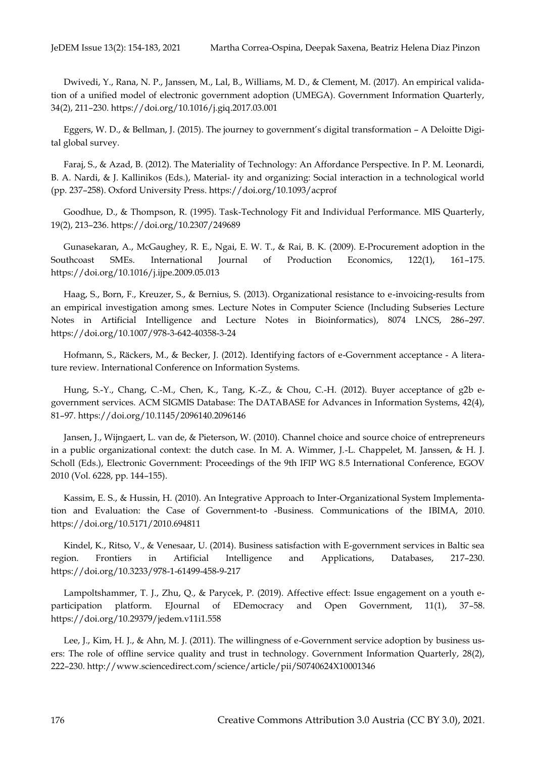Dwivedi, Y., Rana, N. P., Janssen, M., Lal, B., Williams, M. D., & Clement, M. (2017). An empirical validation of a unified model of electronic government adoption (UMEGA). Government Information Quarterly, 34(2), 211–230. https://doi.org/10.1016/j.giq.2017.03.001

Eggers, W. D., & Bellman, J. (2015). The journey to government's digital transformation – A Deloitte Digital global survey.

Faraj, S., & Azad, B. (2012). The Materiality of Technology: An Affordance Perspective. In P. M. Leonardi, B. A. Nardi, & J. Kallinikos (Eds.), Material- ity and organizing: Social interaction in a technological world (pp. 237–258). Oxford University Press. https://doi.org/10.1093/acprof

Goodhue, D., & Thompson, R. (1995). Task-Technology Fit and Individual Performance. MIS Quarterly, 19(2), 213–236. https://doi.org/10.2307/249689

Gunasekaran, A., McGaughey, R. E., Ngai, E. W. T., & Rai, B. K. (2009). E-Procurement adoption in the Southcoast SMEs. International Journal of Production Economics, 122(1), 161–175. https://doi.org/10.1016/j.ijpe.2009.05.013

Haag, S., Born, F., Kreuzer, S., & Bernius, S. (2013). Organizational resistance to e-invoicing-results from an empirical investigation among smes. Lecture Notes in Computer Science (Including Subseries Lecture Notes in Artificial Intelligence and Lecture Notes in Bioinformatics), 8074 LNCS, 286–297. https://doi.org/10.1007/978-3-642-40358-3-24

Hofmann, S., Räckers, M., & Becker, J. (2012). Identifying factors of e-Government acceptance - A literature review. International Conference on Information Systems.

Hung, S.-Y., Chang, C.-M., Chen, K., Tang, K.-Z., & Chou, C.-H. (2012). Buyer acceptance of g2b egovernment services. ACM SIGMIS Database: The DATABASE for Advances in Information Systems, 42(4), 81–97. https://doi.org/10.1145/2096140.2096146

Jansen, J., Wijngaert, L. van de, & Pieterson, W. (2010). Channel choice and source choice of entrepreneurs in a public organizational context: the dutch case. In M. A. Wimmer, J.-L. Chappelet, M. Janssen, & H. J. Scholl (Eds.), Electronic Government: Proceedings of the 9th IFIP WG 8.5 International Conference, EGOV 2010 (Vol. 6228, pp. 144–155).

Kassim, E. S., & Hussin, H. (2010). An Integrative Approach to Inter-Organizational System Implementation and Evaluation: the Case of Government-to -Business. Communications of the IBIMA, 2010. https://doi.org/10.5171/2010.694811

Kindel, K., Ritso, V., & Venesaar, U. (2014). Business satisfaction with E-government services in Baltic sea region. Frontiers in Artificial Intelligence and Applications, Databases, 217–230. https://doi.org/10.3233/978-1-61499-458-9-217

Lampoltshammer, T. J., Zhu, Q., & Parycek, P. (2019). Affective effect: Issue engagement on a youth eparticipation platform. EJournal of EDemocracy and Open Government, 11(1), 37–58. https://doi.org/10.29379/jedem.v11i1.558

Lee, J., Kim, H. J., & Ahn, M. J. (2011). The willingness of e-Government service adoption by business users: The role of offline service quality and trust in technology. Government Information Quarterly, 28(2), 222–230. http://www.sciencedirect.com/science/article/pii/S0740624X10001346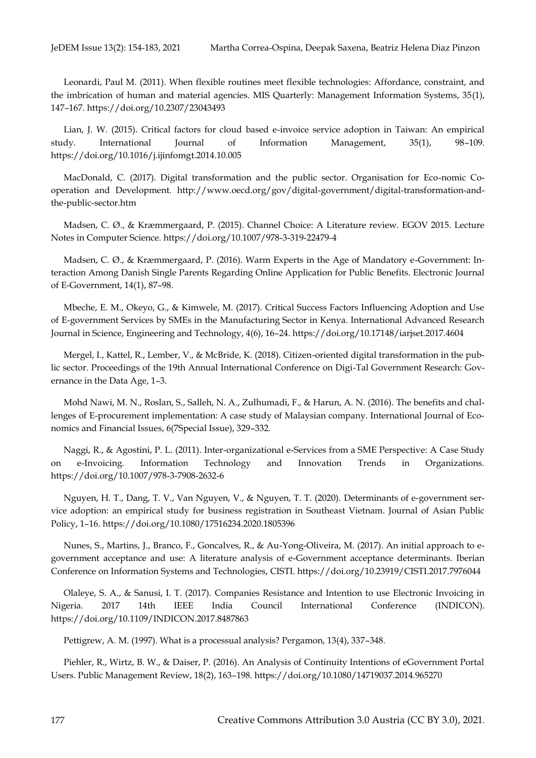Leonardi, Paul M. (2011). When flexible routines meet flexible technologies: Affordance, constraint, and the imbrication of human and material agencies. MIS Quarterly: Management Information Systems, 35(1), 147–167. https://doi.org/10.2307/23043493

Lian, J. W. (2015). Critical factors for cloud based e-invoice service adoption in Taiwan: An empirical study. International Journal of Information Management, 35(1), 98–109. https://doi.org/10.1016/j.ijinfomgt.2014.10.005

MacDonald, C. (2017). Digital transformation and the public sector. Organisation for Eco-nomic Cooperation and Development. http://www.oecd.org/gov/digital-government/digital-transformation-andthe-public-sector.htm

Madsen, C. Ø., & Kræmmergaard, P. (2015). Channel Choice: A Literature review. EGOV 2015. Lecture Notes in Computer Science. https://doi.org/10.1007/978-3-319-22479-4

Madsen, C. Ø., & Kræmmergaard, P. (2016). Warm Experts in the Age of Mandatory e-Government: Interaction Among Danish Single Parents Regarding Online Application for Public Benefits. Electronic Journal of E-Government, 14(1), 87–98.

Mbeche, E. M., Okeyo, G., & Kimwele, M. (2017). Critical Success Factors Influencing Adoption and Use of E-government Services by SMEs in the Manufacturing Sector in Kenya. International Advanced Research Journal in Science, Engineering and Technology, 4(6), 16–24. https://doi.org/10.17148/iarjset.2017.4604

Mergel, I., Kattel, R., Lember, V., & McBride, K. (2018). Citizen-oriented digital transformation in the public sector. Proceedings of the 19th Annual International Conference on Digi-Tal Government Research: Governance in the Data Age, 1–3.

Mohd Nawi, M. N., Roslan, S., Salleh, N. A., Zulhumadi, F., & Harun, A. N. (2016). The benefits and challenges of E-procurement implementation: A case study of Malaysian company. International Journal of Economics and Financial Issues, 6(7Special Issue), 329–332.

Naggi, R., & Agostini, P. L. (2011). Inter-organizational e-Services from a SME Perspective: A Case Study on e-Invoicing. Information Technology and Innovation Trends in Organizations. https://doi.org/10.1007/978-3-7908-2632-6

Nguyen, H. T., Dang, T. V., Van Nguyen, V., & Nguyen, T. T. (2020). Determinants of e-government service adoption: an empirical study for business registration in Southeast Vietnam. Journal of Asian Public Policy, 1–16. https://doi.org/10.1080/17516234.2020.1805396

Nunes, S., Martins, J., Branco, F., Goncalves, R., & Au-Yong-Oliveira, M. (2017). An initial approach to egovernment acceptance and use: A literature analysis of e-Government acceptance determinants. Iberian Conference on Information Systems and Technologies, CISTI. https://doi.org/10.23919/CISTI.2017.7976044

Olaleye, S. A., & Sanusi, I. T. (2017). Companies Resistance and Intention to use Electronic Invoicing in Nigeria. 2017 14th IEEE India Council International Conference (INDICON). https://doi.org/10.1109/INDICON.2017.8487863

Pettigrew, A. M. (1997). What is a processual analysis? Pergamon, 13(4), 337–348.

Piehler, R., Wirtz, B. W., & Daiser, P. (2016). An Analysis of Continuity Intentions of eGovernment Portal Users. Public Management Review, 18(2), 163–198. https://doi.org/10.1080/14719037.2014.965270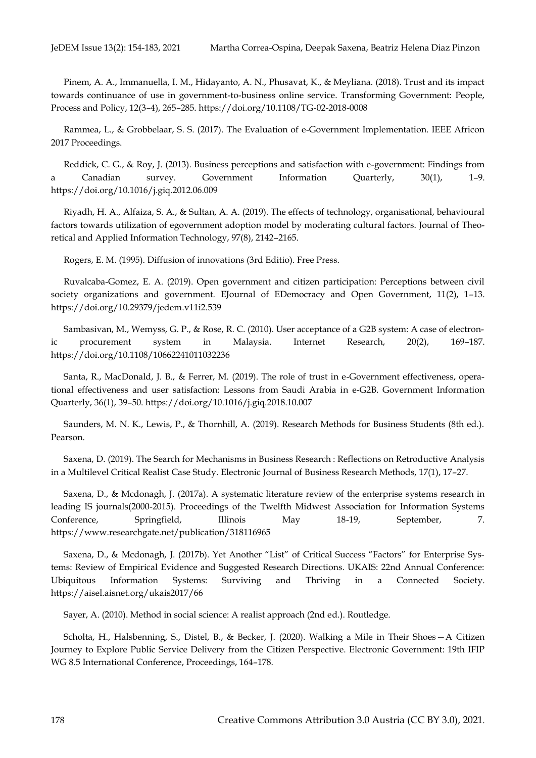Pinem, A. A., Immanuella, I. M., Hidayanto, A. N., Phusavat, K., & Meyliana. (2018). Trust and its impact towards continuance of use in government-to-business online service. Transforming Government: People, Process and Policy, 12(3–4), 265–285. https://doi.org/10.1108/TG-02-2018-0008

Rammea, L., & Grobbelaar, S. S. (2017). The Evaluation of e-Government Implementation. IEEE Africon 2017 Proceedings.

Reddick, C. G., & Roy, J. (2013). Business perceptions and satisfaction with e-government: Findings from a Canadian survey. Government Information Quarterly, 30(1), 1–9. https://doi.org/10.1016/j.giq.2012.06.009

Riyadh, H. A., Alfaiza, S. A., & Sultan, A. A. (2019). The effects of technology, organisational, behavioural factors towards utilization of egovernment adoption model by moderating cultural factors. Journal of Theoretical and Applied Information Technology, 97(8), 2142–2165.

Rogers, E. M. (1995). Diffusion of innovations (3rd Editio). Free Press.

Ruvalcaba-Gomez, E. A. (2019). Open government and citizen participation: Perceptions between civil society organizations and government. EJournal of EDemocracy and Open Government, 11(2), 1-13. https://doi.org/10.29379/jedem.v11i2.539

Sambasivan, M., Wemyss, G. P., & Rose, R. C. (2010). User acceptance of a G2B system: A case of electronic procurement system in Malaysia. Internet Research, 20(2), 169–187. https://doi.org/10.1108/10662241011032236

Santa, R., MacDonald, J. B., & Ferrer, M. (2019). The role of trust in e-Government effectiveness, operational effectiveness and user satisfaction: Lessons from Saudi Arabia in e-G2B. Government Information Quarterly, 36(1), 39–50. https://doi.org/10.1016/j.giq.2018.10.007

Saunders, M. N. K., Lewis, P., & Thornhill, A. (2019). Research Methods for Business Students (8th ed.). Pearson.

Saxena, D. (2019). The Search for Mechanisms in Business Research : Reflections on Retroductive Analysis in a Multilevel Critical Realist Case Study. Electronic Journal of Business Research Methods, 17(1), 17–27.

Saxena, D., & Mcdonagh, J. (2017a). A systematic literature review of the enterprise systems research in leading IS journals(2000-2015). Proceedings of the Twelfth Midwest Association for Information Systems Conference, Springfield, Illinois May 18-19, September, 7. https://www.researchgate.net/publication/318116965

Saxena, D., & Mcdonagh, J. (2017b). Yet Another "List" of Critical Success "Factors" for Enterprise Systems: Review of Empirical Evidence and Suggested Research Directions. UKAIS: 22nd Annual Conference: Ubiquitous Information Systems: Surviving and Thriving in a Connected Society. https://aisel.aisnet.org/ukais2017/66

Sayer, A. (2010). Method in social science: A realist approach (2nd ed.). Routledge.

Scholta, H., Halsbenning, S., Distel, B., & Becker, J. (2020). Walking a Mile in Their Shoes—A Citizen Journey to Explore Public Service Delivery from the Citizen Perspective. Electronic Government: 19th IFIP WG 8.5 International Conference, Proceedings, 164–178.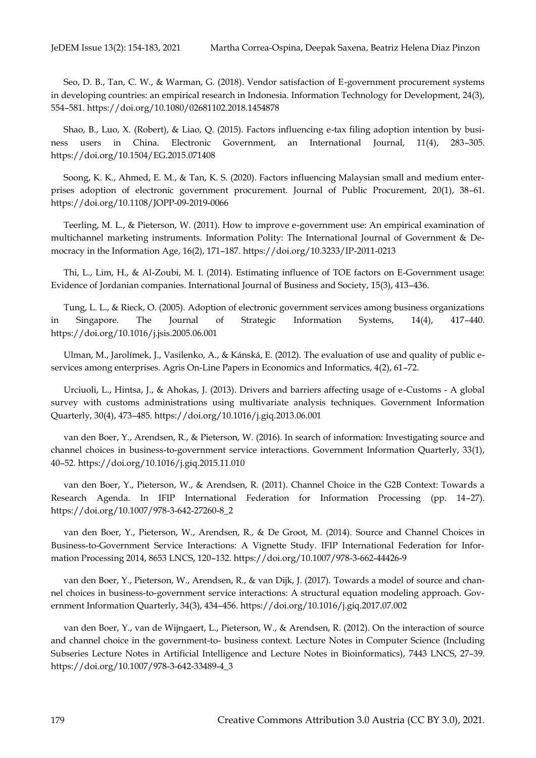Seo, D. B., Tan, C. W., & Warman, G. (2018). Vendor satisfaction of E-government procurement systems in developing countries: an empirical research in Indonesia. Information Technology for Development, 24(3), 554–581. https://doi.org/10.1080/02681102.2018.1454878

Shao, B., Luo, X. (Robert), & Liao, Q. (2015). Factors influencing e-tax filing adoption intention by business users in China. Electronic Government, an International Journal, 11(4), 283–305. https://doi.org/10.1504/EG.2015.071408

Soong, K. K., Ahmed, E. M., & Tan, K. S. (2020). Factors influencing Malaysian small and medium enterprises adoption of electronic government procurement. Journal of Public Procurement, 20(1), 38–61. https://doi.org/10.1108/JOPP-09-2019-0066

Teerling, M. L., & Pieterson, W. (2011). How to improve e-government use: An empirical examination of multichannel marketing instruments. Information Polity: The International Journal of Government & Democracy in the Information Age, 16(2), 171–187. https://doi.org/10.3233/IP-2011-0213

Thi, L., Lim, H., & Al-Zoubi, M. I. (2014). Estimating influence of TOE factors on E-Government usage: Evidence of Jordanian companies. International Journal of Business and Society, 15(3), 413–436.

Tung, L. L., & Rieck, O. (2005). Adoption of electronic government services among business organizations in Singapore. The Journal of Strategic Information Systems, 14(4), 417–440. https://doi.org/10.1016/j.jsis.2005.06.001

Ulman, M., Jarolímek, J., Vasilenko, A., & Kánská, E. (2012). The evaluation of use and quality of public eservices among enterprises. Agris On-Line Papers in Economics and Informatics, 4(2), 61–72.

Urciuoli, L., Hintsa, J., & Ahokas, J. (2013). Drivers and barriers affecting usage of e-Customs - A global survey with customs administrations using multivariate analysis techniques. Government Information Quarterly, 30(4), 473–485. https://doi.org/10.1016/j.giq.2013.06.001

van den Boer, Y., Arendsen, R., & Pieterson, W. (2016). In search of information: Investigating source and channel choices in business-to-government service interactions. Government Information Quarterly, 33(1), 40–52. https://doi.org/10.1016/j.giq.2015.11.010

van den Boer, Y., Pieterson, W., & Arendsen, R. (2011). Channel Choice in the G2B Context: Towards a Research Agenda. In IFIP International Federation for Information Processing (pp. 14–27). https://doi.org/10.1007/978-3-642-27260-8\_2

van den Boer, Y., Pieterson, W., Arendsen, R., & De Groot, M. (2014). Source and Channel Choices in Business-to-Government Service Interactions: A Vignette Study. IFIP International Federation for Information Processing 2014, 8653 LNCS, 120–132. https://doi.org/10.1007/978-3-662-44426-9

van den Boer, Y., Pieterson, W., Arendsen, R., & van Dijk, J. (2017). Towards a model of source and channel choices in business-to-government service interactions: A structural equation modeling approach. Government Information Quarterly, 34(3), 434–456. https://doi.org/10.1016/j.giq.2017.07.002

van den Boer, Y., van de Wijngaert, L., Pieterson, W., & Arendsen, R. (2012). On the interaction of source and channel choice in the government-to- business context. Lecture Notes in Computer Science (Including Subseries Lecture Notes in Artificial Intelligence and Lecture Notes in Bioinformatics), 7443 LNCS, 27–39. https://doi.org/10.1007/978-3-642-33489-4\_3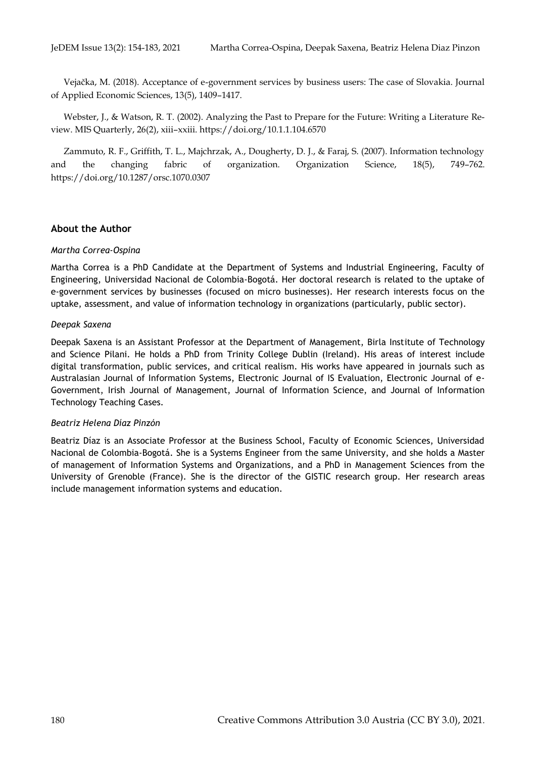Vejačka, M. (2018). Acceptance of e-government services by business users: The case of Slovakia. Journal of Applied Economic Sciences, 13(5), 1409–1417.

Webster, J., & Watson, R. T. (2002). Analyzing the Past to Prepare for the Future: Writing a Literature Review. MIS Quarterly, 26(2), xiii–xxiii. https://doi.org/10.1.1.104.6570

Zammuto, R. F., Griffith, T. L., Majchrzak, A., Dougherty, D. J., & Faraj, S. (2007). Information technology and the changing fabric of organization. Organization Science, 18(5), 749–762. https://doi.org/10.1287/orsc.1070.0307

#### **About the Author**

#### *Martha Correa-Ospina*

Martha Correa is a PhD Candidate at the Department of Systems and Industrial Engineering, Faculty of Engineering, Universidad Nacional de Colombia-Bogotá. Her doctoral research is related to the uptake of e-government services by businesses (focused on micro businesses). Her research interests focus on the uptake, assessment, and value of information technology in organizations (particularly, public sector).

#### *Deepak Saxena*

Deepak Saxena is an Assistant Professor at the Department of Management, Birla Institute of Technology and Science Pilani. He holds a PhD from Trinity College Dublin (Ireland). His areas of interest include digital transformation, public services, and critical realism. His works have appeared in journals such as Australasian Journal of Information Systems, Electronic Journal of IS Evaluation, Electronic Journal of e-Government, Irish Journal of Management, Journal of Information Science, and Journal of Information Technology Teaching Cases.

#### *Beatriz Helena Díaz Pinzón*

Beatriz Díaz is an Associate Professor at the Business School, Faculty of Economic Sciences, Universidad Nacional de Colombia-Bogotá. She is a Systems Engineer from the same University, and she holds a Master of management of Information Systems and Organizations, and a PhD in Management Sciences from the University of Grenoble (France). She is the director of the GISTIC research group. Her research areas include management information systems and education.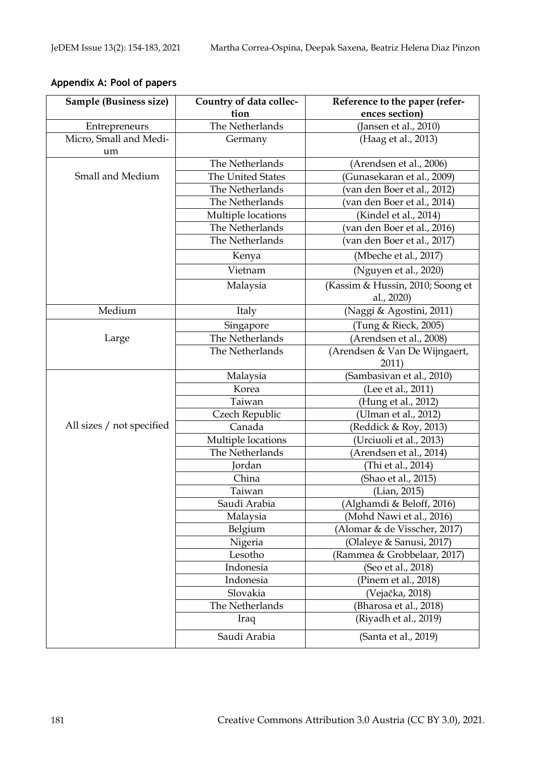# **Appendix A: Pool of papers**

| Sample (Business size)       | Country of data collec- | Reference to the paper (refer-                 |  |
|------------------------------|-------------------------|------------------------------------------------|--|
|                              | tion                    | ences section)                                 |  |
| Entrepreneurs                | The Netherlands         | (Jansen et al., 2010)                          |  |
| Micro, Small and Medi-<br>um | Germany                 | (Haag et al., 2013)                            |  |
|                              | The Netherlands         | (Arendsen et al., 2006)                        |  |
| Small and Medium             | The United States       | Gunasekaran et al., 2009)                      |  |
|                              | The Netherlands         | (van den Boer et al., 2012)                    |  |
|                              | The Netherlands         | (van den Boer et al., 2014)                    |  |
|                              | Multiple locations      | (Kindel et al., 2014)                          |  |
|                              | The Netherlands         | (van den Boer et al., 2016)                    |  |
|                              | The Netherlands         | (van den Boer et al., 2017)                    |  |
|                              | Kenya                   | (Mbeche et al., 2017)                          |  |
|                              | Vietnam                 | (Nguyen et al., 2020)                          |  |
|                              | Malaysia                | (Kassim & Hussin, 2010; Soong et<br>al., 2020) |  |
| Medium                       | Italy                   | (Naggi & Agostini, 2011)                       |  |
| Large                        | Singapore               | (Tung & Rieck <i>,</i> 2005)                   |  |
|                              | The Netherlands         | (Arendsen et al., 2008)                        |  |
|                              | The Netherlands         | (Arendsen & Van De Wijngaert,<br>2011)         |  |
|                              | Malaysia                | (Sambasivan et al., 2010)                      |  |
|                              | Korea                   | (Lee et al., 2011)                             |  |
|                              | Taiwan                  | (Hung et al., 2012)                            |  |
| All sizes / not specified    | Czech Republic          | (Ulman et al., 2012)                           |  |
|                              | Canada                  | (Reddick & Roy, 2013)                          |  |
|                              | Multiple locations      | Urciuoli et al., 2013)                         |  |
|                              | The Netherlands         | (Arendsen et al., 2014)                        |  |
|                              | Jordan                  | (Thi et al., 2014)                             |  |
|                              | China                   | (Shao et al., 2015)                            |  |
|                              | Taiwan                  | (Lian, 2015)                                   |  |
|                              | Saudi Arabia            | (Alghamdi & Beloff, 2016)                      |  |
|                              | Malaysia                | (Mohd Nawi et al., 2016)                       |  |
|                              | Belgium                 | (Alomar & de Visscher, 2017)                   |  |
|                              | Nigeria                 | (Olaleye & Sanusi, 2017)                       |  |
|                              | Lesotho                 | (Rammea & Grobbelaar, 2017)                    |  |
|                              | Indonesia               | (Seo et al., 2018)                             |  |
|                              | Indonesia               | (Pinem et al., 2018)                           |  |
|                              | Slovakia                | (Vejačka, 2018)                                |  |
|                              | The Netherlands         | (Bharosa et al., 2018)                         |  |
|                              | Iraq                    | (Riyadh et al., 2019)                          |  |
|                              | Saudi Arabia            | (Santa et al., 2019)                           |  |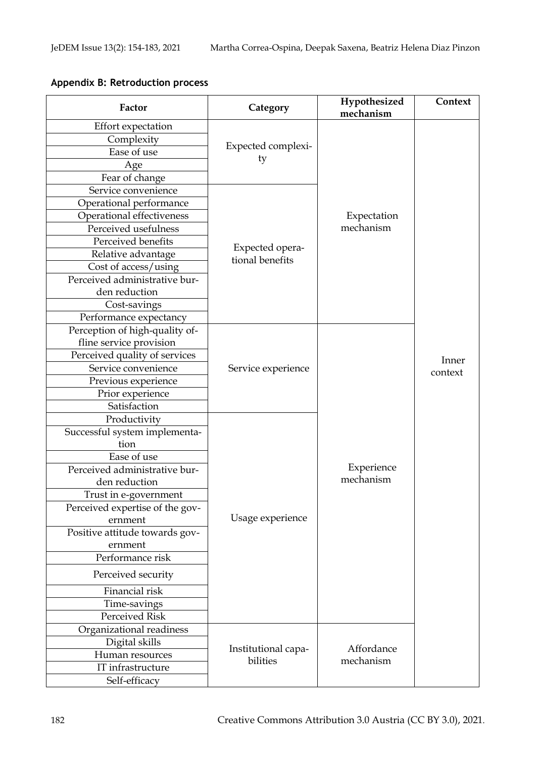## **Appendix B: Retroduction process**

| Factor                          | Category                           | Hypothesized<br>mechanism | Context |
|---------------------------------|------------------------------------|---------------------------|---------|
| <b>Effort</b> expectation       |                                    |                           |         |
| Complexity                      |                                    |                           |         |
| Ease of use                     | Expected complexi-                 |                           |         |
| Age                             | ty                                 |                           |         |
| Fear of change                  |                                    |                           |         |
| Service convenience             |                                    |                           |         |
| Operational performance         |                                    |                           |         |
| Operational effectiveness       |                                    | Expectation               |         |
| Perceived usefulness            |                                    | mechanism                 |         |
| Perceived benefits              | Expected opera-<br>tional benefits |                           |         |
| Relative advantage              |                                    |                           |         |
| Cost of access/using            |                                    |                           |         |
| Perceived administrative bur-   |                                    |                           |         |
| den reduction                   |                                    |                           |         |
| Cost-savings                    |                                    |                           |         |
| Performance expectancy          |                                    |                           |         |
| Perception of high-quality of-  |                                    |                           |         |
| fline service provision         |                                    |                           |         |
| Perceived quality of services   |                                    |                           | Inner   |
| Service convenience             | Service experience                 |                           | context |
| Previous experience             |                                    |                           |         |
| Prior experience                |                                    |                           |         |
| Satisfaction                    |                                    |                           |         |
| Productivity                    |                                    |                           |         |
| Successful system implementa-   |                                    |                           |         |
| tion                            |                                    |                           |         |
| Ease of use                     |                                    |                           |         |
| Perceived administrative bur-   |                                    | Experience                |         |
| den reduction                   |                                    | mechanism                 |         |
| Trust in e-government           |                                    |                           |         |
| Perceived expertise of the gov- |                                    |                           |         |
| ernment                         | Usage experience                   |                           |         |
| Positive attitude towards gov-  |                                    |                           |         |
| ernment                         |                                    |                           |         |
| Performance risk                |                                    |                           |         |
| Perceived security              |                                    |                           |         |
| Financial risk                  |                                    |                           |         |
| Time-savings                    |                                    |                           |         |
| Perceived Risk                  |                                    |                           |         |
| Organizational readiness        |                                    | Affordance<br>mechanism   |         |
| Digital skills                  | Institutional capa-<br>bilities    |                           |         |
| Human resources                 |                                    |                           |         |
| IT infrastructure               |                                    |                           |         |
| Self-efficacy                   |                                    |                           |         |